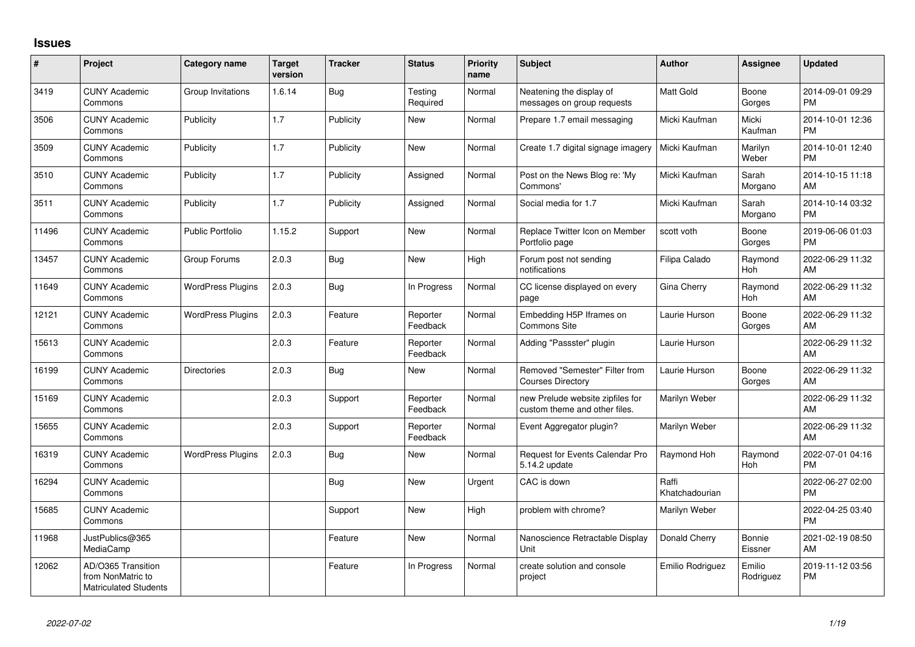## **Issues**

| #     | Project                                                                 | <b>Category name</b>     | <b>Target</b><br>version | <b>Tracker</b> | <b>Status</b>        | <b>Priority</b><br>name | <b>Subject</b>                                                    | <b>Author</b>           | Assignee            | <b>Updated</b>                |
|-------|-------------------------------------------------------------------------|--------------------------|--------------------------|----------------|----------------------|-------------------------|-------------------------------------------------------------------|-------------------------|---------------------|-------------------------------|
| 3419  | <b>CUNY Academic</b><br>Commons                                         | Group Invitations        | 1.6.14                   | Bug            | Testing<br>Required  | Normal                  | Neatening the display of<br>messages on group requests            | Matt Gold               | Boone<br>Gorges     | 2014-09-01 09:29<br><b>PM</b> |
| 3506  | <b>CUNY Academic</b><br>Commons                                         | Publicity                | 1.7                      | Publicity      | New                  | Normal                  | Prepare 1.7 email messaging                                       | Micki Kaufman           | Micki<br>Kaufman    | 2014-10-01 12:36<br><b>PM</b> |
| 3509  | <b>CUNY Academic</b><br>Commons                                         | Publicity                | 1.7                      | Publicity      | <b>New</b>           | Normal                  | Create 1.7 digital signage imagery                                | Micki Kaufman           | Marilyn<br>Weber    | 2014-10-01 12:40<br><b>PM</b> |
| 3510  | <b>CUNY Academic</b><br>Commons                                         | Publicity                | 1.7                      | Publicity      | Assigned             | Normal                  | Post on the News Blog re: 'My<br>Commons'                         | Micki Kaufman           | Sarah<br>Morgano    | 2014-10-15 11:18<br>AM        |
| 3511  | <b>CUNY Academic</b><br>Commons                                         | Publicity                | 1.7                      | Publicity      | Assigned             | Normal                  | Social media for 1.7                                              | Micki Kaufman           | Sarah<br>Morgano    | 2014-10-14 03:32<br><b>PM</b> |
| 11496 | <b>CUNY Academic</b><br>Commons                                         | <b>Public Portfolio</b>  | 1.15.2                   | Support        | New                  | Normal                  | Replace Twitter Icon on Member<br>Portfolio page                  | scott voth              | Boone<br>Gorges     | 2019-06-06 01:03<br><b>PM</b> |
| 13457 | <b>CUNY Academic</b><br>Commons                                         | Group Forums             | 2.0.3                    | <b>Bug</b>     | New                  | High                    | Forum post not sending<br>notifications                           | Filipa Calado           | Raymond<br>Hoh      | 2022-06-29 11:32<br>AM        |
| 11649 | <b>CUNY Academic</b><br>Commons                                         | <b>WordPress Plugins</b> | 2.0.3                    | Bug            | In Progress          | Normal                  | CC license displayed on every<br>page                             | Gina Cherry             | Raymond<br>Hoh      | 2022-06-29 11:32<br>AM        |
| 12121 | <b>CUNY Academic</b><br>Commons                                         | <b>WordPress Plugins</b> | 2.0.3                    | Feature        | Reporter<br>Feedback | Normal                  | Embedding H5P Iframes on<br><b>Commons Site</b>                   | Laurie Hurson           | Boone<br>Gorges     | 2022-06-29 11:32<br>AM        |
| 15613 | <b>CUNY Academic</b><br>Commons                                         |                          | 2.0.3                    | Feature        | Reporter<br>Feedback | Normal                  | Adding "Passster" plugin                                          | Laurie Hurson           |                     | 2022-06-29 11:32<br>AM        |
| 16199 | <b>CUNY Academic</b><br>Commons                                         | <b>Directories</b>       | 2.0.3                    | Bug            | <b>New</b>           | Normal                  | Removed "Semester" Filter from<br><b>Courses Directory</b>        | Laurie Hurson           | Boone<br>Gorges     | 2022-06-29 11:32<br>AM        |
| 15169 | <b>CUNY Academic</b><br>Commons                                         |                          | 2.0.3                    | Support        | Reporter<br>Feedback | Normal                  | new Prelude website zipfiles for<br>custom theme and other files. | Marilyn Weber           |                     | 2022-06-29 11:32<br>AM        |
| 15655 | <b>CUNY Academic</b><br>Commons                                         |                          | 2.0.3                    | Support        | Reporter<br>Feedback | Normal                  | Event Aggregator plugin?                                          | Marilyn Weber           |                     | 2022-06-29 11:32<br>AM        |
| 16319 | <b>CUNY Academic</b><br>Commons                                         | <b>WordPress Plugins</b> | 2.0.3                    | <b>Bug</b>     | <b>New</b>           | Normal                  | Request for Events Calendar Pro<br>5.14.2 update                  | Raymond Hoh             | Raymond<br>Hoh      | 2022-07-01 04:16<br><b>PM</b> |
| 16294 | <b>CUNY Academic</b><br>Commons                                         |                          |                          | <b>Bug</b>     | New                  | Urgent                  | CAC is down                                                       | Raffi<br>Khatchadourian |                     | 2022-06-27 02:00<br><b>PM</b> |
| 15685 | <b>CUNY Academic</b><br>Commons                                         |                          |                          | Support        | <b>New</b>           | High                    | problem with chrome?                                              | Marilyn Weber           |                     | 2022-04-25 03:40<br><b>PM</b> |
| 11968 | JustPublics@365<br>MediaCamp                                            |                          |                          | Feature        | New                  | Normal                  | Nanoscience Retractable Display<br>Unit                           | Donald Cherry           | Bonnie<br>Eissner   | 2021-02-19 08:50<br>AM        |
| 12062 | AD/O365 Transition<br>from NonMatric to<br><b>Matriculated Students</b> |                          |                          | Feature        | In Progress          | Normal                  | create solution and console<br>project                            | Emilio Rodriguez        | Emilio<br>Rodriguez | 2019-11-12 03:56<br><b>PM</b> |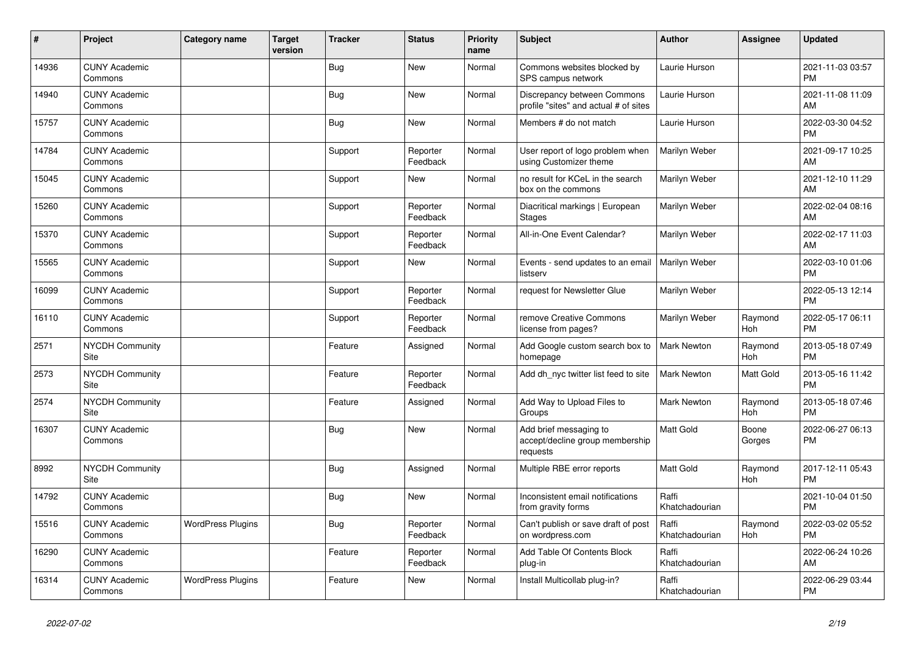| #     | Project                         | Category name            | <b>Target</b><br>version | <b>Tracker</b> | <b>Status</b>        | <b>Priority</b><br>name | <b>Subject</b>                                                        | <b>Author</b>           | Assignee        | <b>Updated</b>                |
|-------|---------------------------------|--------------------------|--------------------------|----------------|----------------------|-------------------------|-----------------------------------------------------------------------|-------------------------|-----------------|-------------------------------|
| 14936 | <b>CUNY Academic</b><br>Commons |                          |                          | <b>Bug</b>     | <b>New</b>           | Normal                  | Commons websites blocked by<br>SPS campus network                     | Laurie Hurson           |                 | 2021-11-03 03:57<br><b>PM</b> |
| 14940 | <b>CUNY Academic</b><br>Commons |                          |                          | Bug            | <b>New</b>           | Normal                  | Discrepancy between Commons<br>profile "sites" and actual # of sites  | Laurie Hurson           |                 | 2021-11-08 11:09<br>AM        |
| 15757 | <b>CUNY Academic</b><br>Commons |                          |                          | Bug            | <b>New</b>           | Normal                  | Members # do not match                                                | Laurie Hurson           |                 | 2022-03-30 04:52<br><b>PM</b> |
| 14784 | <b>CUNY Academic</b><br>Commons |                          |                          | Support        | Reporter<br>Feedback | Normal                  | User report of logo problem when<br>using Customizer theme            | Marilyn Weber           |                 | 2021-09-17 10:25<br>AM        |
| 15045 | <b>CUNY Academic</b><br>Commons |                          |                          | Support        | <b>New</b>           | Normal                  | no result for KCeL in the search<br>box on the commons                | Marilyn Weber           |                 | 2021-12-10 11:29<br>AM        |
| 15260 | <b>CUNY Academic</b><br>Commons |                          |                          | Support        | Reporter<br>Feedback | Normal                  | Diacritical markings   European<br><b>Stages</b>                      | Marilyn Weber           |                 | 2022-02-04 08:16<br>AM        |
| 15370 | <b>CUNY Academic</b><br>Commons |                          |                          | Support        | Reporter<br>Feedback | Normal                  | All-in-One Event Calendar?                                            | Marilyn Weber           |                 | 2022-02-17 11:03<br>AM        |
| 15565 | <b>CUNY Academic</b><br>Commons |                          |                          | Support        | <b>New</b>           | Normal                  | Events - send updates to an email<br>listserv                         | Marilyn Weber           |                 | 2022-03-10 01:06<br><b>PM</b> |
| 16099 | <b>CUNY Academic</b><br>Commons |                          |                          | Support        | Reporter<br>Feedback | Normal                  | request for Newsletter Glue                                           | Marilyn Weber           |                 | 2022-05-13 12:14<br><b>PM</b> |
| 16110 | <b>CUNY Academic</b><br>Commons |                          |                          | Support        | Reporter<br>Feedback | Normal                  | remove Creative Commons<br>license from pages?                        | Marilyn Weber           | Raymond<br>Hoh  | 2022-05-17 06:11<br><b>PM</b> |
| 2571  | <b>NYCDH Community</b><br>Site  |                          |                          | Feature        | Assigned             | Normal                  | Add Google custom search box to<br>homepage                           | <b>Mark Newton</b>      | Raymond<br>Hoh  | 2013-05-18 07:49<br><b>PM</b> |
| 2573  | NYCDH Community<br>Site         |                          |                          | Feature        | Reporter<br>Feedback | Normal                  | Add dh_nyc twitter list feed to site                                  | <b>Mark Newton</b>      | Matt Gold       | 2013-05-16 11:42<br><b>PM</b> |
| 2574  | <b>NYCDH Community</b><br>Site  |                          |                          | Feature        | Assigned             | Normal                  | Add Way to Upload Files to<br>Groups                                  | <b>Mark Newton</b>      | Raymond<br>Hoh  | 2013-05-18 07:46<br><b>PM</b> |
| 16307 | <b>CUNY Academic</b><br>Commons |                          |                          | <b>Bug</b>     | <b>New</b>           | Normal                  | Add brief messaging to<br>accept/decline group membership<br>requests | <b>Matt Gold</b>        | Boone<br>Gorges | 2022-06-27 06:13<br><b>PM</b> |
| 8992  | <b>NYCDH Community</b><br>Site  |                          |                          | <b>Bug</b>     | Assigned             | Normal                  | Multiple RBE error reports                                            | <b>Matt Gold</b>        | Raymond<br>Hoh  | 2017-12-11 05:43<br><b>PM</b> |
| 14792 | <b>CUNY Academic</b><br>Commons |                          |                          | Bug            | <b>New</b>           | Normal                  | Inconsistent email notifications<br>from gravity forms                | Raffi<br>Khatchadourian |                 | 2021-10-04 01:50<br><b>PM</b> |
| 15516 | <b>CUNY Academic</b><br>Commons | <b>WordPress Plugins</b> |                          | Bug            | Reporter<br>Feedback | Normal                  | Can't publish or save draft of post<br>on wordpress.com               | Raffi<br>Khatchadourian | Raymond<br>Hoh  | 2022-03-02 05:52<br><b>PM</b> |
| 16290 | <b>CUNY Academic</b><br>Commons |                          |                          | Feature        | Reporter<br>Feedback | Normal                  | Add Table Of Contents Block<br>plug-in                                | Raffi<br>Khatchadourian |                 | 2022-06-24 10:26<br>AM        |
| 16314 | <b>CUNY Academic</b><br>Commons | <b>WordPress Plugins</b> |                          | Feature        | <b>New</b>           | Normal                  | Install Multicollab plug-in?                                          | Raffi<br>Khatchadourian |                 | 2022-06-29 03:44<br><b>PM</b> |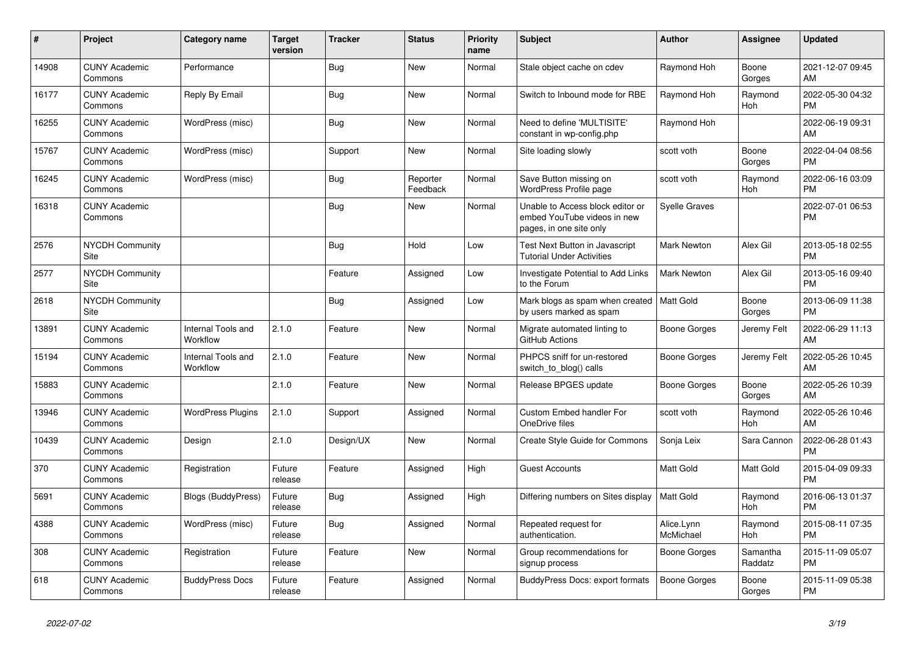| #     | Project                         | <b>Category name</b>           | <b>Target</b><br>version | <b>Tracker</b> | <b>Status</b>        | <b>Priority</b><br>name | <b>Subject</b>                                                                             | <b>Author</b>           | <b>Assignee</b>     | <b>Updated</b>                |
|-------|---------------------------------|--------------------------------|--------------------------|----------------|----------------------|-------------------------|--------------------------------------------------------------------------------------------|-------------------------|---------------------|-------------------------------|
| 14908 | <b>CUNY Academic</b><br>Commons | Performance                    |                          | Bug            | New                  | Normal                  | Stale object cache on cdev                                                                 | Raymond Hoh             | Boone<br>Gorges     | 2021-12-07 09:45<br>AM        |
| 16177 | <b>CUNY Academic</b><br>Commons | Reply By Email                 |                          | Bug            | New                  | Normal                  | Switch to Inbound mode for RBE                                                             | Raymond Hoh             | Raymond<br>Hoh      | 2022-05-30 04:32<br><b>PM</b> |
| 16255 | <b>CUNY Academic</b><br>Commons | WordPress (misc)               |                          | Bug            | <b>New</b>           | Normal                  | Need to define 'MULTISITE'<br>constant in wp-config.php                                    | Raymond Hoh             |                     | 2022-06-19 09:31<br>AM        |
| 15767 | <b>CUNY Academic</b><br>Commons | WordPress (misc)               |                          | Support        | <b>New</b>           | Normal                  | Site loading slowly                                                                        | scott voth              | Boone<br>Gorges     | 2022-04-04 08:56<br><b>PM</b> |
| 16245 | <b>CUNY Academic</b><br>Commons | WordPress (misc)               |                          | Bug            | Reporter<br>Feedback | Normal                  | Save Button missing on<br>WordPress Profile page                                           | scott voth              | Raymond<br>Hoh      | 2022-06-16 03:09<br><b>PM</b> |
| 16318 | <b>CUNY Academic</b><br>Commons |                                |                          | Bug            | New                  | Normal                  | Unable to Access block editor or<br>embed YouTube videos in new<br>pages, in one site only | <b>Syelle Graves</b>    |                     | 2022-07-01 06:53<br><b>PM</b> |
| 2576  | <b>NYCDH Community</b><br>Site  |                                |                          | Bug            | Hold                 | Low                     | Test Next Button in Javascript<br><b>Tutorial Under Activities</b>                         | Mark Newton             | Alex Gil            | 2013-05-18 02:55<br><b>PM</b> |
| 2577  | <b>NYCDH Community</b><br>Site  |                                |                          | Feature        | Assigned             | Low                     | Investigate Potential to Add Links<br>to the Forum                                         | <b>Mark Newton</b>      | Alex Gil            | 2013-05-16 09:40<br><b>PM</b> |
| 2618  | NYCDH Community<br>Site         |                                |                          | Bug            | Assigned             | Low                     | Mark blogs as spam when created   Matt Gold<br>by users marked as spam                     |                         | Boone<br>Gorges     | 2013-06-09 11:38<br><b>PM</b> |
| 13891 | <b>CUNY Academic</b><br>Commons | Internal Tools and<br>Workflow | 2.1.0                    | Feature        | New                  | Normal                  | Migrate automated linting to<br>GitHub Actions                                             | Boone Gorges            | Jeremy Felt         | 2022-06-29 11:13<br>AM        |
| 15194 | <b>CUNY Academic</b><br>Commons | Internal Tools and<br>Workflow | 2.1.0                    | Feature        | New                  | Normal                  | PHPCS sniff for un-restored<br>switch to blog() calls                                      | Boone Gorges            | Jeremy Felt         | 2022-05-26 10:45<br>AM        |
| 15883 | <b>CUNY Academic</b><br>Commons |                                | 2.1.0                    | Feature        | <b>New</b>           | Normal                  | Release BPGES update                                                                       | Boone Gorges            | Boone<br>Gorges     | 2022-05-26 10:39<br>AM        |
| 13946 | <b>CUNY Academic</b><br>Commons | <b>WordPress Plugins</b>       | 2.1.0                    | Support        | Assigned             | Normal                  | Custom Embed handler For<br>OneDrive files                                                 | scott voth              | Raymond<br>Hoh      | 2022-05-26 10:46<br>AM        |
| 10439 | <b>CUNY Academic</b><br>Commons | Design                         | 2.1.0                    | Design/UX      | New                  | Normal                  | Create Style Guide for Commons                                                             | Sonja Leix              | Sara Cannon         | 2022-06-28 01:43<br><b>PM</b> |
| 370   | <b>CUNY Academic</b><br>Commons | Registration                   | Future<br>release        | Feature        | Assigned             | High                    | <b>Guest Accounts</b>                                                                      | <b>Matt Gold</b>        | Matt Gold           | 2015-04-09 09:33<br><b>PM</b> |
| 5691  | <b>CUNY Academic</b><br>Commons | Blogs (BuddyPress)             | Future<br>release        | <b>Bug</b>     | Assigned             | High                    | Differing numbers on Sites display                                                         | <b>Matt Gold</b>        | Raymond<br>Hoh      | 2016-06-13 01:37<br><b>PM</b> |
| 4388  | <b>CUNY Academic</b><br>Commons | WordPress (misc)               | Future<br>release        | Bug            | Assigned             | Normal                  | Repeated request for<br>authentication.                                                    | Alice.Lynn<br>McMichael | Raymond<br>Hoh      | 2015-08-11 07:35<br><b>PM</b> |
| 308   | <b>CUNY Academic</b><br>Commons | Registration                   | Future<br>release        | Feature        | New                  | Normal                  | Group recommendations for<br>signup process                                                | Boone Gorges            | Samantha<br>Raddatz | 2015-11-09 05:07<br><b>PM</b> |
| 618   | <b>CUNY Academic</b><br>Commons | <b>BuddyPress Docs</b>         | Future<br>release        | Feature        | Assigned             | Normal                  | <b>BuddyPress Docs: export formats</b>                                                     | <b>Boone Gorges</b>     | Boone<br>Gorges     | 2015-11-09 05:38<br><b>PM</b> |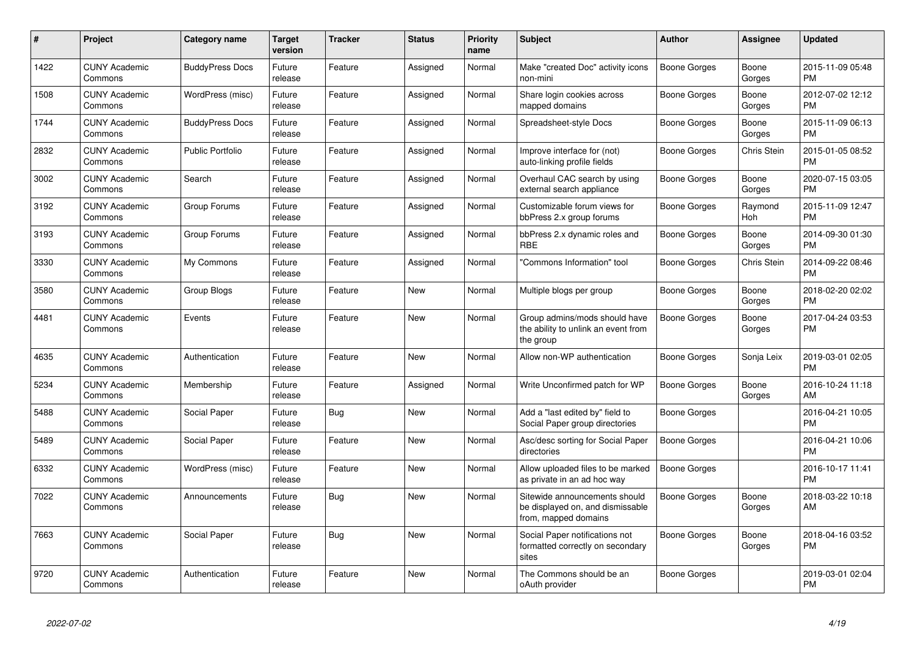| $\pmb{\#}$ | Project                         | <b>Category name</b>    | <b>Target</b><br>version | <b>Tracker</b> | <b>Status</b> | Priority<br>name | <b>Subject</b>                                                                            | <b>Author</b> | <b>Assignee</b> | <b>Updated</b>                |
|------------|---------------------------------|-------------------------|--------------------------|----------------|---------------|------------------|-------------------------------------------------------------------------------------------|---------------|-----------------|-------------------------------|
| 1422       | <b>CUNY Academic</b><br>Commons | <b>BuddyPress Docs</b>  | Future<br>release        | Feature        | Assigned      | Normal           | Make "created Doc" activity icons<br>non-mini                                             | Boone Gorges  | Boone<br>Gorges | 2015-11-09 05:48<br><b>PM</b> |
| 1508       | <b>CUNY Academic</b><br>Commons | WordPress (misc)        | Future<br>release        | Feature        | Assigned      | Normal           | Share login cookies across<br>mapped domains                                              | Boone Gorges  | Boone<br>Gorges | 2012-07-02 12:12<br><b>PM</b> |
| 1744       | <b>CUNY Academic</b><br>Commons | <b>BuddyPress Docs</b>  | Future<br>release        | Feature        | Assigned      | Normal           | Spreadsheet-style Docs                                                                    | Boone Gorges  | Boone<br>Gorges | 2015-11-09 06:13<br><b>PM</b> |
| 2832       | <b>CUNY Academic</b><br>Commons | <b>Public Portfolio</b> | Future<br>release        | Feature        | Assigned      | Normal           | Improve interface for (not)<br>auto-linking profile fields                                | Boone Gorges  | Chris Stein     | 2015-01-05 08:52<br><b>PM</b> |
| 3002       | <b>CUNY Academic</b><br>Commons | Search                  | Future<br>release        | Feature        | Assigned      | Normal           | Overhaul CAC search by using<br>external search appliance                                 | Boone Gorges  | Boone<br>Gorges | 2020-07-15 03:05<br><b>PM</b> |
| 3192       | <b>CUNY Academic</b><br>Commons | Group Forums            | Future<br>release        | Feature        | Assigned      | Normal           | Customizable forum views for<br>bbPress 2.x group forums                                  | Boone Gorges  | Raymond<br>Hoh  | 2015-11-09 12:47<br><b>PM</b> |
| 3193       | <b>CUNY Academic</b><br>Commons | Group Forums            | Future<br>release        | Feature        | Assigned      | Normal           | bbPress 2.x dynamic roles and<br><b>RBE</b>                                               | Boone Gorges  | Boone<br>Gorges | 2014-09-30 01:30<br><b>PM</b> |
| 3330       | <b>CUNY Academic</b><br>Commons | My Commons              | Future<br>release        | Feature        | Assigned      | Normal           | "Commons Information" tool                                                                | Boone Gorges  | Chris Stein     | 2014-09-22 08:46<br><b>PM</b> |
| 3580       | <b>CUNY Academic</b><br>Commons | Group Blogs             | Future<br>release        | Feature        | New           | Normal           | Multiple blogs per group                                                                  | Boone Gorges  | Boone<br>Gorges | 2018-02-20 02:02<br><b>PM</b> |
| 4481       | <b>CUNY Academic</b><br>Commons | Events                  | Future<br>release        | Feature        | New           | Normal           | Group admins/mods should have<br>the ability to unlink an event from<br>the group         | Boone Gorges  | Boone<br>Gorges | 2017-04-24 03:53<br><b>PM</b> |
| 4635       | <b>CUNY Academic</b><br>Commons | Authentication          | Future<br>release        | Feature        | <b>New</b>    | Normal           | Allow non-WP authentication                                                               | Boone Gorges  | Sonja Leix      | 2019-03-01 02:05<br><b>PM</b> |
| 5234       | <b>CUNY Academic</b><br>Commons | Membership              | Future<br>release        | Feature        | Assigned      | Normal           | Write Unconfirmed patch for WP                                                            | Boone Gorges  | Boone<br>Gorges | 2016-10-24 11:18<br>AM        |
| 5488       | <b>CUNY Academic</b><br>Commons | Social Paper            | Future<br>release        | Bug            | New           | Normal           | Add a "last edited by" field to<br>Social Paper group directories                         | Boone Gorges  |                 | 2016-04-21 10:05<br><b>PM</b> |
| 5489       | <b>CUNY Academic</b><br>Commons | Social Paper            | Future<br>release        | Feature        | <b>New</b>    | Normal           | Asc/desc sorting for Social Paper<br>directories                                          | Boone Gorges  |                 | 2016-04-21 10:06<br><b>PM</b> |
| 6332       | <b>CUNY Academic</b><br>Commons | WordPress (misc)        | Future<br>release        | Feature        | <b>New</b>    | Normal           | Allow uploaded files to be marked<br>as private in an ad hoc way                          | Boone Gorges  |                 | 2016-10-17 11:41<br><b>PM</b> |
| 7022       | <b>CUNY Academic</b><br>Commons | Announcements           | Future<br>release        | Bug            | New           | Normal           | Sitewide announcements should<br>be displayed on, and dismissable<br>from, mapped domains | Boone Gorges  | Boone<br>Gorges | 2018-03-22 10:18<br>AM        |
| 7663       | <b>CUNY Academic</b><br>Commons | Social Paper            | Future<br>release        | Bug            | <b>New</b>    | Normal           | Social Paper notifications not<br>formatted correctly on secondary<br>sites               | Boone Gorges  | Boone<br>Gorges | 2018-04-16 03:52<br><b>PM</b> |
| 9720       | <b>CUNY Academic</b><br>Commons | Authentication          | Future<br>release        | Feature        | <b>New</b>    | Normal           | The Commons should be an<br>oAuth provider                                                | Boone Gorges  |                 | 2019-03-01 02:04<br><b>PM</b> |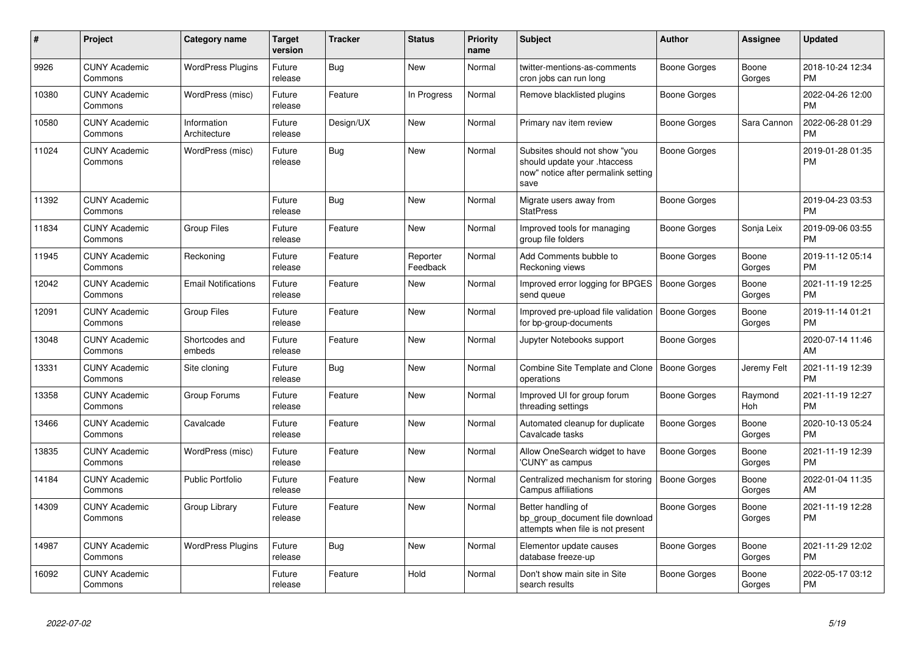| #     | <b>Project</b>                  | <b>Category name</b>        | <b>Target</b><br>version | <b>Tracker</b> | <b>Status</b>        | <b>Priority</b><br>name | <b>Subject</b>                                                                                               | <b>Author</b>       | Assignee        | <b>Updated</b>                |
|-------|---------------------------------|-----------------------------|--------------------------|----------------|----------------------|-------------------------|--------------------------------------------------------------------------------------------------------------|---------------------|-----------------|-------------------------------|
| 9926  | <b>CUNY Academic</b><br>Commons | <b>WordPress Plugins</b>    | Future<br>release        | Bug            | <b>New</b>           | Normal                  | twitter-mentions-as-comments<br>cron jobs can run long                                                       | Boone Gorges        | Boone<br>Gorges | 2018-10-24 12:34<br><b>PM</b> |
| 10380 | <b>CUNY Academic</b><br>Commons | WordPress (misc)            | Future<br>release        | Feature        | In Progress          | Normal                  | Remove blacklisted plugins                                                                                   | Boone Gorges        |                 | 2022-04-26 12:00<br><b>PM</b> |
| 10580 | <b>CUNY Academic</b><br>Commons | Information<br>Architecture | Future<br>release        | Design/UX      | <b>New</b>           | Normal                  | Primary nav item review                                                                                      | Boone Gorges        | Sara Cannon     | 2022-06-28 01:29<br><b>PM</b> |
| 11024 | <b>CUNY Academic</b><br>Commons | WordPress (misc)            | Future<br>release        | Bug            | <b>New</b>           | Normal                  | Subsites should not show "you<br>should update your .htaccess<br>now" notice after permalink setting<br>save | Boone Gorges        |                 | 2019-01-28 01:35<br><b>PM</b> |
| 11392 | <b>CUNY Academic</b><br>Commons |                             | Future<br>release        | Bug            | New                  | Normal                  | Migrate users away from<br><b>StatPress</b>                                                                  | <b>Boone Gorges</b> |                 | 2019-04-23 03:53<br><b>PM</b> |
| 11834 | <b>CUNY Academic</b><br>Commons | <b>Group Files</b>          | Future<br>release        | Feature        | <b>New</b>           | Normal                  | Improved tools for managing<br>group file folders                                                            | Boone Gorges        | Sonja Leix      | 2019-09-06 03:55<br><b>PM</b> |
| 11945 | <b>CUNY Academic</b><br>Commons | Reckoning                   | Future<br>release        | Feature        | Reporter<br>Feedback | Normal                  | Add Comments bubble to<br>Reckoning views                                                                    | Boone Gorges        | Boone<br>Gorges | 2019-11-12 05:14<br><b>PM</b> |
| 12042 | <b>CUNY Academic</b><br>Commons | <b>Email Notifications</b>  | Future<br>release        | Feature        | <b>New</b>           | Normal                  | Improved error logging for BPGES<br>send queue                                                               | Boone Gorges        | Boone<br>Gorges | 2021-11-19 12:25<br><b>PM</b> |
| 12091 | <b>CUNY Academic</b><br>Commons | <b>Group Files</b>          | Future<br>release        | Feature        | New                  | Normal                  | Improved pre-upload file validation   Boone Gorges<br>for bp-group-documents                                 |                     | Boone<br>Gorges | 2019-11-14 01:21<br><b>PM</b> |
| 13048 | <b>CUNY Academic</b><br>Commons | Shortcodes and<br>embeds    | Future<br>release        | Feature        | New                  | Normal                  | Jupyter Notebooks support                                                                                    | Boone Gorges        |                 | 2020-07-14 11:46<br>AM        |
| 13331 | <b>CUNY Academic</b><br>Commons | Site cloning                | Future<br>release        | Bug            | New                  | Normal                  | Combine Site Template and Clone   Boone Gorges<br>operations                                                 |                     | Jeremy Felt     | 2021-11-19 12:39<br><b>PM</b> |
| 13358 | <b>CUNY Academic</b><br>Commons | Group Forums                | Future<br>release        | Feature        | <b>New</b>           | Normal                  | Improved UI for group forum<br>threading settings                                                            | Boone Gorges        | Raymond<br>Hoh  | 2021-11-19 12:27<br><b>PM</b> |
| 13466 | <b>CUNY Academic</b><br>Commons | Cavalcade                   | Future<br>release        | Feature        | <b>New</b>           | Normal                  | Automated cleanup for duplicate<br>Cavalcade tasks                                                           | Boone Gorges        | Boone<br>Gorges | 2020-10-13 05:24<br><b>PM</b> |
| 13835 | <b>CUNY Academic</b><br>Commons | WordPress (misc)            | Future<br>release        | Feature        | <b>New</b>           | Normal                  | Allow OneSearch widget to have<br>'CUNY' as campus                                                           | Boone Gorges        | Boone<br>Gorges | 2021-11-19 12:39<br><b>PM</b> |
| 14184 | <b>CUNY Academic</b><br>Commons | <b>Public Portfolio</b>     | Future<br>release        | Feature        | New                  | Normal                  | Centralized mechanism for storing<br>Campus affiliations                                                     | Boone Gorges        | Boone<br>Gorges | 2022-01-04 11:35<br>AM        |
| 14309 | <b>CUNY Academic</b><br>Commons | Group Library               | Future<br>release        | Feature        | New                  | Normal                  | Better handling of<br>bp group document file download<br>attempts when file is not present                   | Boone Gorges        | Boone<br>Gorges | 2021-11-19 12:28<br><b>PM</b> |
| 14987 | <b>CUNY Academic</b><br>Commons | <b>WordPress Plugins</b>    | Future<br>release        | Bug            | <b>New</b>           | Normal                  | Elementor update causes<br>database freeze-up                                                                | Boone Gorges        | Boone<br>Gorges | 2021-11-29 12:02<br><b>PM</b> |
| 16092 | <b>CUNY Academic</b><br>Commons |                             | Future<br>release        | Feature        | Hold                 | Normal                  | Don't show main site in Site<br>search results                                                               | Boone Gorges        | Boone<br>Gorges | 2022-05-17 03:12<br><b>PM</b> |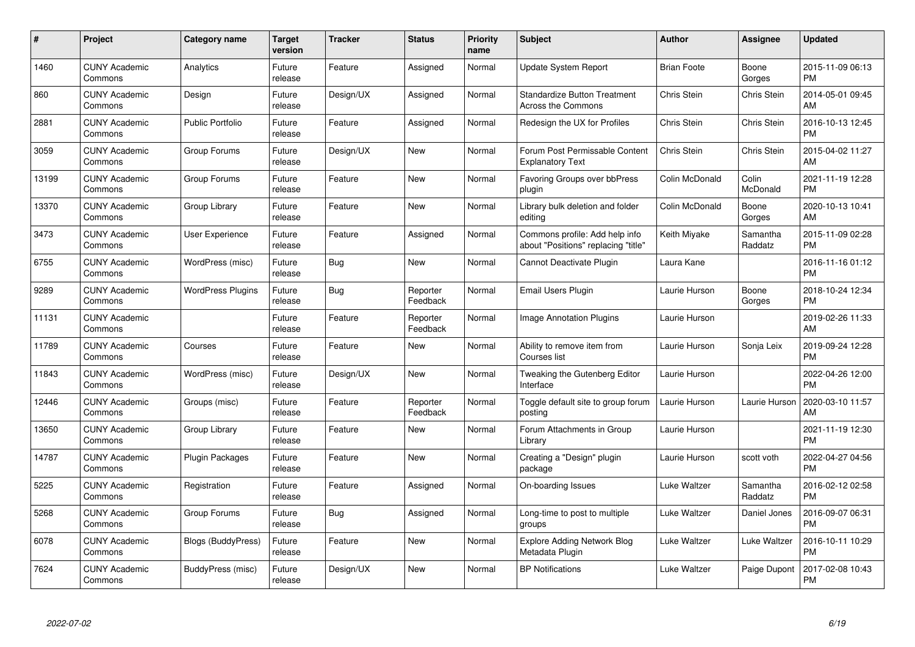| $\#$  | Project                         | <b>Category name</b>     | <b>Target</b><br>version | <b>Tracker</b> | <b>Status</b>        | Priority<br>name | <b>Subject</b>                                                        | <b>Author</b>      | <b>Assignee</b>     | <b>Updated</b>                |
|-------|---------------------------------|--------------------------|--------------------------|----------------|----------------------|------------------|-----------------------------------------------------------------------|--------------------|---------------------|-------------------------------|
| 1460  | <b>CUNY Academic</b><br>Commons | Analytics                | Future<br>release        | Feature        | Assigned             | Normal           | <b>Update System Report</b>                                           | <b>Brian Foote</b> | Boone<br>Gorges     | 2015-11-09 06:13<br><b>PM</b> |
| 860   | <b>CUNY Academic</b><br>Commons | Design                   | Future<br>release        | Design/UX      | Assigned             | Normal           | <b>Standardize Button Treatment</b><br><b>Across the Commons</b>      | Chris Stein        | <b>Chris Stein</b>  | 2014-05-01 09:45<br>AM        |
| 2881  | <b>CUNY Academic</b><br>Commons | <b>Public Portfolio</b>  | Future<br>release        | Feature        | Assigned             | Normal           | Redesign the UX for Profiles                                          | Chris Stein        | Chris Stein         | 2016-10-13 12:45<br><b>PM</b> |
| 3059  | <b>CUNY Academic</b><br>Commons | Group Forums             | Future<br>release        | Design/UX      | <b>New</b>           | Normal           | Forum Post Permissable Content<br><b>Explanatory Text</b>             | Chris Stein        | Chris Stein         | 2015-04-02 11:27<br>AM        |
| 13199 | <b>CUNY Academic</b><br>Commons | Group Forums             | Future<br>release        | Feature        | <b>New</b>           | Normal           | Favoring Groups over bbPress<br>plugin                                | Colin McDonald     | Colin<br>McDonald   | 2021-11-19 12:28<br><b>PM</b> |
| 13370 | <b>CUNY Academic</b><br>Commons | Group Library            | Future<br>release        | Feature        | <b>New</b>           | Normal           | Library bulk deletion and folder<br>editing                           | Colin McDonald     | Boone<br>Gorges     | 2020-10-13 10:41<br>AM        |
| 3473  | <b>CUNY Academic</b><br>Commons | <b>User Experience</b>   | Future<br>release        | Feature        | Assigned             | Normal           | Commons profile: Add help info<br>about "Positions" replacing "title" | Keith Miyake       | Samantha<br>Raddatz | 2015-11-09 02:28<br><b>PM</b> |
| 6755  | <b>CUNY Academic</b><br>Commons | WordPress (misc)         | Future<br>release        | Bug            | <b>New</b>           | Normal           | Cannot Deactivate Plugin                                              | Laura Kane         |                     | 2016-11-16 01:12<br><b>PM</b> |
| 9289  | <b>CUNY Academic</b><br>Commons | <b>WordPress Plugins</b> | Future<br>release        | Bug            | Reporter<br>Feedback | Normal           | Email Users Plugin                                                    | Laurie Hurson      | Boone<br>Gorges     | 2018-10-24 12:34<br><b>PM</b> |
| 11131 | <b>CUNY Academic</b><br>Commons |                          | Future<br>release        | Feature        | Reporter<br>Feedback | Normal           | Image Annotation Plugins                                              | Laurie Hurson      |                     | 2019-02-26 11:33<br>AM        |
| 11789 | <b>CUNY Academic</b><br>Commons | Courses                  | Future<br>release        | Feature        | New                  | Normal           | Ability to remove item from<br>Courses list                           | Laurie Hurson      | Sonja Leix          | 2019-09-24 12:28<br><b>PM</b> |
| 11843 | <b>CUNY Academic</b><br>Commons | WordPress (misc)         | Future<br>release        | Design/UX      | <b>New</b>           | Normal           | Tweaking the Gutenberg Editor<br>Interface                            | Laurie Hurson      |                     | 2022-04-26 12:00<br><b>PM</b> |
| 12446 | <b>CUNY Academic</b><br>Commons | Groups (misc)            | Future<br>release        | Feature        | Reporter<br>Feedback | Normal           | Toggle default site to group forum<br>posting                         | Laurie Hurson      | Laurie Hurson       | 2020-03-10 11:57<br>AM        |
| 13650 | <b>CUNY Academic</b><br>Commons | Group Library            | Future<br>release        | Feature        | New                  | Normal           | Forum Attachments in Group<br>Library                                 | Laurie Hurson      |                     | 2021-11-19 12:30<br><b>PM</b> |
| 14787 | <b>CUNY Academic</b><br>Commons | <b>Plugin Packages</b>   | Future<br>release        | Feature        | <b>New</b>           | Normal           | Creating a "Design" plugin<br>package                                 | Laurie Hurson      | scott voth          | 2022-04-27 04:56<br><b>PM</b> |
| 5225  | <b>CUNY Academic</b><br>Commons | Registration             | Future<br>release        | Feature        | Assigned             | Normal           | On-boarding Issues                                                    | Luke Waltzer       | Samantha<br>Raddatz | 2016-02-12 02:58<br><b>PM</b> |
| 5268  | <b>CUNY Academic</b><br>Commons | Group Forums             | Future<br>release        | Bug            | Assigned             | Normal           | Long-time to post to multiple<br>groups                               | Luke Waltzer       | Daniel Jones        | 2016-09-07 06:31<br><b>PM</b> |
| 6078  | <b>CUNY Academic</b><br>Commons | Blogs (BuddyPress)       | Future<br>release        | Feature        | New                  | Normal           | <b>Explore Adding Network Blog</b><br>Metadata Plugin                 | Luke Waltzer       | Luke Waltzer        | 2016-10-11 10:29<br><b>PM</b> |
| 7624  | CUNY Academic<br>Commons        | BuddyPress (misc)        | Future<br>release        | Design/UX      | <b>New</b>           | Normal           | <b>BP Notifications</b>                                               | Luke Waltzer       | Paige Dupont        | 2017-02-08 10:43<br><b>PM</b> |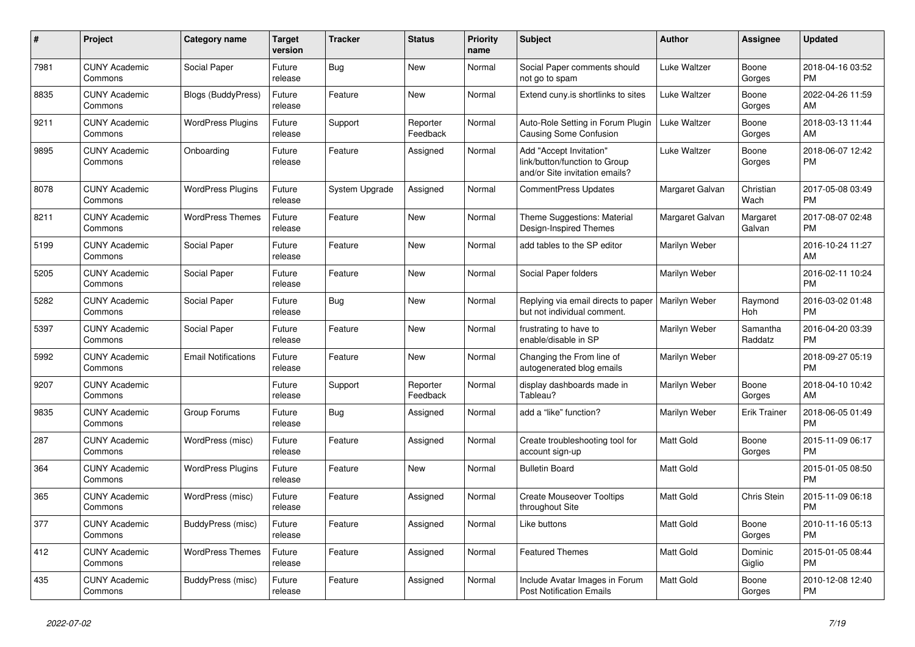| $\pmb{\#}$ | <b>Project</b>                  | <b>Category name</b>       | <b>Target</b><br>version | <b>Tracker</b> | <b>Status</b>        | <b>Priority</b><br>name | <b>Subject</b>                                                                             | <b>Author</b>    | Assignee            | <b>Updated</b>                |
|------------|---------------------------------|----------------------------|--------------------------|----------------|----------------------|-------------------------|--------------------------------------------------------------------------------------------|------------------|---------------------|-------------------------------|
| 7981       | <b>CUNY Academic</b><br>Commons | Social Paper               | Future<br>release        | Bug            | New                  | Normal                  | Social Paper comments should<br>not go to spam                                             | Luke Waltzer     | Boone<br>Gorges     | 2018-04-16 03:52<br><b>PM</b> |
| 8835       | <b>CUNY Academic</b><br>Commons | Blogs (BuddyPress)         | Future<br>release        | Feature        | New                  | Normal                  | Extend cuny is shortlinks to sites                                                         | Luke Waltzer     | Boone<br>Gorges     | 2022-04-26 11:59<br>AM        |
| 9211       | <b>CUNY Academic</b><br>Commons | <b>WordPress Plugins</b>   | Future<br>release        | Support        | Reporter<br>Feedback | Normal                  | Auto-Role Setting in Forum Plugin<br>Causing Some Confusion                                | Luke Waltzer     | Boone<br>Gorges     | 2018-03-13 11:44<br>AM        |
| 9895       | <b>CUNY Academic</b><br>Commons | Onboarding                 | Future<br>release        | Feature        | Assigned             | Normal                  | Add "Accept Invitation"<br>link/button/function to Group<br>and/or Site invitation emails? | Luke Waltzer     | Boone<br>Gorges     | 2018-06-07 12:42<br><b>PM</b> |
| 8078       | <b>CUNY Academic</b><br>Commons | <b>WordPress Plugins</b>   | Future<br>release        | System Upgrade | Assigned             | Normal                  | <b>CommentPress Updates</b>                                                                | Margaret Galvan  | Christian<br>Wach   | 2017-05-08 03:49<br><b>PM</b> |
| 8211       | <b>CUNY Academic</b><br>Commons | <b>WordPress Themes</b>    | Future<br>release        | Feature        | New                  | Normal                  | Theme Suggestions: Material<br>Design-Inspired Themes                                      | Margaret Galvan  | Margaret<br>Galvan  | 2017-08-07 02:48<br><b>PM</b> |
| 5199       | <b>CUNY Academic</b><br>Commons | Social Paper               | Future<br>release        | Feature        | <b>New</b>           | Normal                  | add tables to the SP editor                                                                | Marilyn Weber    |                     | 2016-10-24 11:27<br>AM        |
| 5205       | <b>CUNY Academic</b><br>Commons | Social Paper               | Future<br>release        | Feature        | New                  | Normal                  | Social Paper folders                                                                       | Marilyn Weber    |                     | 2016-02-11 10:24<br><b>PM</b> |
| 5282       | <b>CUNY Academic</b><br>Commons | Social Paper               | Future<br>release        | Bug            | <b>New</b>           | Normal                  | Replying via email directs to paper<br>but not individual comment.                         | Marilyn Weber    | Raymond<br>Hoh      | 2016-03-02 01:48<br><b>PM</b> |
| 5397       | <b>CUNY Academic</b><br>Commons | Social Paper               | Future<br>release        | Feature        | <b>New</b>           | Normal                  | frustrating to have to<br>enable/disable in SP                                             | Marilyn Weber    | Samantha<br>Raddatz | 2016-04-20 03:39<br><b>PM</b> |
| 5992       | <b>CUNY Academic</b><br>Commons | <b>Email Notifications</b> | Future<br>release        | Feature        | New                  | Normal                  | Changing the From line of<br>autogenerated blog emails                                     | Marilyn Weber    |                     | 2018-09-27 05:19<br><b>PM</b> |
| 9207       | <b>CUNY Academic</b><br>Commons |                            | Future<br>release        | Support        | Reporter<br>Feedback | Normal                  | display dashboards made in<br>Tableau?                                                     | Marilyn Weber    | Boone<br>Gorges     | 2018-04-10 10:42<br>AM        |
| 9835       | <b>CUNY Academic</b><br>Commons | Group Forums               | Future<br>release        | Bug            | Assigned             | Normal                  | add a "like" function?                                                                     | Marilyn Weber    | Erik Trainer        | 2018-06-05 01:49<br><b>PM</b> |
| 287        | <b>CUNY Academic</b><br>Commons | WordPress (misc)           | Future<br>release        | Feature        | Assigned             | Normal                  | Create troubleshooting tool for<br>account sign-up                                         | Matt Gold        | Boone<br>Gorges     | 2015-11-09 06:17<br><b>PM</b> |
| 364        | <b>CUNY Academic</b><br>Commons | <b>WordPress Plugins</b>   | Future<br>release        | Feature        | New                  | Normal                  | <b>Bulletin Board</b>                                                                      | Matt Gold        |                     | 2015-01-05 08:50<br><b>PM</b> |
| 365        | <b>CUNY Academic</b><br>Commons | WordPress (misc)           | Future<br>release        | Feature        | Assigned             | Normal                  | <b>Create Mouseover Tooltips</b><br>throughout Site                                        | Matt Gold        | <b>Chris Stein</b>  | 2015-11-09 06:18<br><b>PM</b> |
| 377        | <b>CUNY Academic</b><br>Commons | BuddyPress (misc)          | Future<br>release        | Feature        | Assigned             | Normal                  | Like buttons                                                                               | <b>Matt Gold</b> | Boone<br>Gorges     | 2010-11-16 05:13<br><b>PM</b> |
| 412        | <b>CUNY Academic</b><br>Commons | <b>WordPress Themes</b>    | Future<br>release        | Feature        | Assigned             | Normal                  | <b>Featured Themes</b>                                                                     | Matt Gold        | Dominic<br>Giglio   | 2015-01-05 08:44<br><b>PM</b> |
| 435        | <b>CUNY Academic</b><br>Commons | BuddyPress (misc)          | Future<br>release        | Feature        | Assigned             | Normal                  | Include Avatar Images in Forum<br><b>Post Notification Emails</b>                          | <b>Matt Gold</b> | Boone<br>Gorges     | 2010-12-08 12:40<br><b>PM</b> |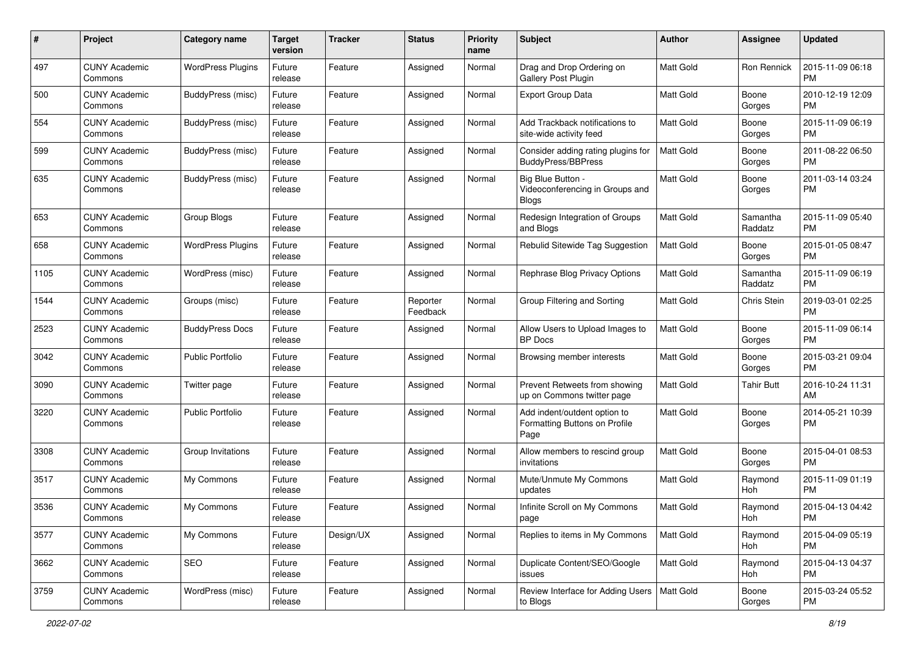| #    | Project                         | <b>Category name</b>     | <b>Target</b><br>version | <b>Tracker</b> | <b>Status</b>        | <b>Priority</b><br>name | <b>Subject</b>                                                        | <b>Author</b>    | <b>Assignee</b>     | <b>Updated</b>                |
|------|---------------------------------|--------------------------|--------------------------|----------------|----------------------|-------------------------|-----------------------------------------------------------------------|------------------|---------------------|-------------------------------|
| 497  | <b>CUNY Academic</b><br>Commons | <b>WordPress Plugins</b> | Future<br>release        | Feature        | Assigned             | Normal                  | Drag and Drop Ordering on<br>Gallery Post Plugin                      | <b>Matt Gold</b> | Ron Rennick         | 2015-11-09 06:18<br><b>PM</b> |
| 500  | <b>CUNY Academic</b><br>Commons | BuddyPress (misc)        | Future<br>release        | Feature        | Assigned             | Normal                  | <b>Export Group Data</b>                                              | Matt Gold        | Boone<br>Gorges     | 2010-12-19 12:09<br><b>PM</b> |
| 554  | <b>CUNY Academic</b><br>Commons | BuddyPress (misc)        | Future<br>release        | Feature        | Assigned             | Normal                  | Add Trackback notifications to<br>site-wide activity feed             | <b>Matt Gold</b> | Boone<br>Gorges     | 2015-11-09 06:19<br><b>PM</b> |
| 599  | <b>CUNY Academic</b><br>Commons | <b>BuddyPress</b> (misc) | Future<br>release        | Feature        | Assigned             | Normal                  | Consider adding rating plugins for<br><b>BuddvPress/BBPress</b>       | <b>Matt Gold</b> | Boone<br>Gorges     | 2011-08-22 06:50<br>PM.       |
| 635  | <b>CUNY Academic</b><br>Commons | BuddyPress (misc)        | Future<br>release        | Feature        | Assigned             | Normal                  | Big Blue Button -<br>Videoconferencing in Groups and<br>Blogs         | <b>Matt Gold</b> | Boone<br>Gorges     | 2011-03-14 03:24<br><b>PM</b> |
| 653  | <b>CUNY Academic</b><br>Commons | Group Blogs              | Future<br>release        | Feature        | Assigned             | Normal                  | Redesign Integration of Groups<br>and Blogs                           | <b>Matt Gold</b> | Samantha<br>Raddatz | 2015-11-09 05:40<br><b>PM</b> |
| 658  | <b>CUNY Academic</b><br>Commons | <b>WordPress Plugins</b> | Future<br>release        | Feature        | Assigned             | Normal                  | Rebulid Sitewide Tag Suggestion                                       | <b>Matt Gold</b> | Boone<br>Gorges     | 2015-01-05 08:47<br><b>PM</b> |
| 1105 | <b>CUNY Academic</b><br>Commons | WordPress (misc)         | Future<br>release        | Feature        | Assigned             | Normal                  | Rephrase Blog Privacy Options                                         | Matt Gold        | Samantha<br>Raddatz | 2015-11-09 06:19<br><b>PM</b> |
| 1544 | <b>CUNY Academic</b><br>Commons | Groups (misc)            | Future<br>release        | Feature        | Reporter<br>Feedback | Normal                  | Group Filtering and Sorting                                           | <b>Matt Gold</b> | Chris Stein         | 2019-03-01 02:25<br><b>PM</b> |
| 2523 | <b>CUNY Academic</b><br>Commons | <b>BuddyPress Docs</b>   | Future<br>release        | Feature        | Assigned             | Normal                  | Allow Users to Upload Images to<br><b>BP</b> Docs                     | <b>Matt Gold</b> | Boone<br>Gorges     | 2015-11-09 06:14<br><b>PM</b> |
| 3042 | <b>CUNY Academic</b><br>Commons | <b>Public Portfolio</b>  | Future<br>release        | Feature        | Assigned             | Normal                  | Browsing member interests                                             | Matt Gold        | Boone<br>Gorges     | 2015-03-21 09:04<br><b>PM</b> |
| 3090 | <b>CUNY Academic</b><br>Commons | Twitter page             | Future<br>release        | Feature        | Assigned             | Normal                  | Prevent Retweets from showing<br>up on Commons twitter page           | Matt Gold        | <b>Tahir Butt</b>   | 2016-10-24 11:31<br>AM        |
| 3220 | <b>CUNY Academic</b><br>Commons | <b>Public Portfolio</b>  | Future<br>release        | Feature        | Assigned             | Normal                  | Add indent/outdent option to<br>Formatting Buttons on Profile<br>Page | <b>Matt Gold</b> | Boone<br>Gorges     | 2014-05-21 10:39<br><b>PM</b> |
| 3308 | <b>CUNY Academic</b><br>Commons | Group Invitations        | Future<br>release        | Feature        | Assigned             | Normal                  | Allow members to rescind group<br>invitations                         | <b>Matt Gold</b> | Boone<br>Gorges     | 2015-04-01 08:53<br><b>PM</b> |
| 3517 | <b>CUNY Academic</b><br>Commons | My Commons               | Future<br>release        | Feature        | Assigned             | Normal                  | Mute/Unmute My Commons<br>updates                                     | Matt Gold        | Raymond<br>Hoh      | 2015-11-09 01:19<br><b>PM</b> |
| 3536 | <b>CUNY Academic</b><br>Commons | My Commons               | Future<br>release        | Feature        | Assigned             | Normal                  | Infinite Scroll on My Commons<br>page                                 | Matt Gold        | Raymond<br>Hoh      | 2015-04-13 04:42<br><b>PM</b> |
| 3577 | <b>CUNY Academic</b><br>Commons | My Commons               | Future<br>release        | Design/UX      | Assigned             | Normal                  | Replies to items in My Commons                                        | Matt Gold        | Raymond<br>Hoh      | 2015-04-09 05:19<br>PM.       |
| 3662 | <b>CUNY Academic</b><br>Commons | SEO                      | Future<br>release        | Feature        | Assigned             | Normal                  | Duplicate Content/SEO/Google<br>issues                                | Matt Gold        | Raymond<br>Hoh      | 2015-04-13 04:37<br><b>PM</b> |
| 3759 | <b>CUNY Academic</b><br>Commons | WordPress (misc)         | Future<br>release        | Feature        | Assigned             | Normal                  | Review Interface for Adding Users   Matt Gold<br>to Blogs             |                  | Boone<br>Gorges     | 2015-03-24 05:52<br><b>PM</b> |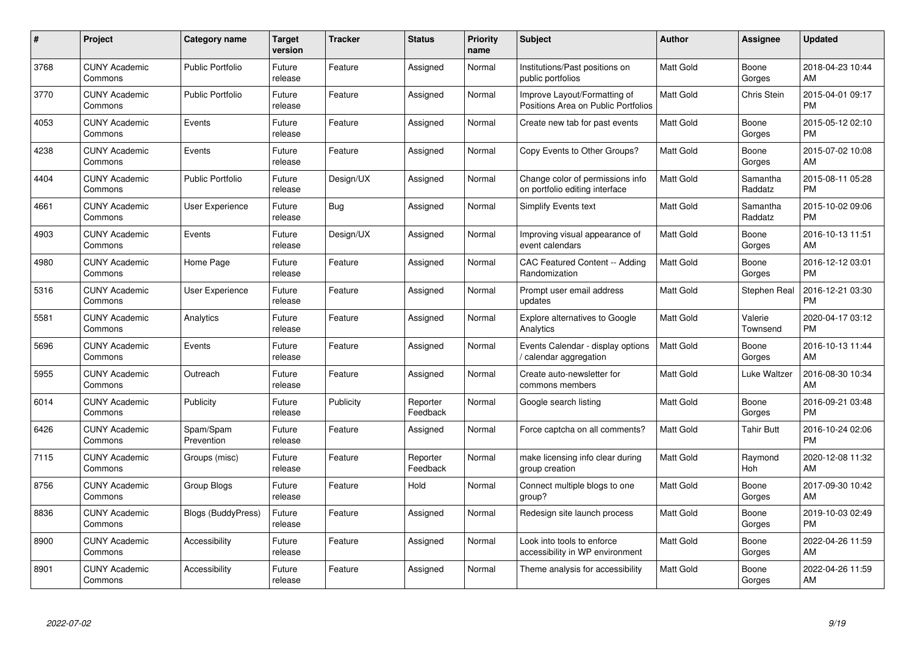| #    | <b>Project</b>                  | Category name             | Target<br>version | <b>Tracker</b> | <b>Status</b>        | <b>Priority</b><br>name | <b>Subject</b>                                                      | <b>Author</b>    | Assignee            | <b>Updated</b>                |
|------|---------------------------------|---------------------------|-------------------|----------------|----------------------|-------------------------|---------------------------------------------------------------------|------------------|---------------------|-------------------------------|
| 3768 | <b>CUNY Academic</b><br>Commons | <b>Public Portfolio</b>   | Future<br>release | Feature        | Assigned             | Normal                  | Institutions/Past positions on<br>public portfolios                 | <b>Matt Gold</b> | Boone<br>Gorges     | 2018-04-23 10:44<br>AM        |
| 3770 | <b>CUNY Academic</b><br>Commons | <b>Public Portfolio</b>   | Future<br>release | Feature        | Assigned             | Normal                  | Improve Layout/Formatting of<br>Positions Area on Public Portfolios | <b>Matt Gold</b> | <b>Chris Stein</b>  | 2015-04-01 09:17<br><b>PM</b> |
| 4053 | <b>CUNY Academic</b><br>Commons | Events                    | Future<br>release | Feature        | Assigned             | Normal                  | Create new tab for past events                                      | <b>Matt Gold</b> | Boone<br>Gorges     | 2015-05-12 02:10<br><b>PM</b> |
| 4238 | <b>CUNY Academic</b><br>Commons | Events                    | Future<br>release | Feature        | Assigned             | Normal                  | Copy Events to Other Groups?                                        | <b>Matt Gold</b> | Boone<br>Gorges     | 2015-07-02 10:08<br><b>AM</b> |
| 4404 | <b>CUNY Academic</b><br>Commons | <b>Public Portfolio</b>   | Future<br>release | Design/UX      | Assigned             | Normal                  | Change color of permissions info<br>on portfolio editing interface  | <b>Matt Gold</b> | Samantha<br>Raddatz | 2015-08-11 05:28<br><b>PM</b> |
| 4661 | <b>CUNY Academic</b><br>Commons | <b>User Experience</b>    | Future<br>release | Bug            | Assigned             | Normal                  | Simplify Events text                                                | <b>Matt Gold</b> | Samantha<br>Raddatz | 2015-10-02 09:06<br><b>PM</b> |
| 4903 | <b>CUNY Academic</b><br>Commons | Events                    | Future<br>release | Design/UX      | Assigned             | Normal                  | Improving visual appearance of<br>event calendars                   | <b>Matt Gold</b> | Boone<br>Gorges     | 2016-10-13 11:51<br>AM        |
| 4980 | <b>CUNY Academic</b><br>Commons | Home Page                 | Future<br>release | Feature        | Assigned             | Normal                  | CAC Featured Content -- Adding<br>Randomization                     | <b>Matt Gold</b> | Boone<br>Gorges     | 2016-12-12 03:01<br><b>PM</b> |
| 5316 | <b>CUNY Academic</b><br>Commons | User Experience           | Future<br>release | Feature        | Assigned             | Normal                  | Prompt user email address<br>updates                                | <b>Matt Gold</b> | Stephen Real        | 2016-12-21 03:30<br><b>PM</b> |
| 5581 | <b>CUNY Academic</b><br>Commons | Analytics                 | Future<br>release | Feature        | Assigned             | Normal                  | Explore alternatives to Google<br>Analytics                         | <b>Matt Gold</b> | Valerie<br>Townsend | 2020-04-17 03:12<br>PM        |
| 5696 | <b>CUNY Academic</b><br>Commons | Events                    | Future<br>release | Feature        | Assigned             | Normal                  | Events Calendar - display options<br>calendar aggregation           | Matt Gold        | Boone<br>Gorges     | 2016-10-13 11:44<br>AM        |
| 5955 | <b>CUNY Academic</b><br>Commons | Outreach                  | Future<br>release | Feature        | Assigned             | Normal                  | Create auto-newsletter for<br>commons members                       | Matt Gold        | Luke Waltzer        | 2016-08-30 10:34<br><b>AM</b> |
| 6014 | <b>CUNY Academic</b><br>Commons | Publicity                 | Future<br>release | Publicity      | Reporter<br>Feedback | Normal                  | Google search listing                                               | Matt Gold        | Boone<br>Gorges     | 2016-09-21 03:48<br>PM.       |
| 6426 | <b>CUNY Academic</b><br>Commons | Spam/Spam<br>Prevention   | Future<br>release | Feature        | Assigned             | Normal                  | Force captcha on all comments?                                      | Matt Gold        | Tahir Butt          | 2016-10-24 02:06<br><b>PM</b> |
| 7115 | <b>CUNY Academic</b><br>Commons | Groups (misc)             | Future<br>release | Feature        | Reporter<br>Feedback | Normal                  | make licensing info clear during<br>group creation                  | Matt Gold        | Raymond<br>Hoh      | 2020-12-08 11:32<br><b>AM</b> |
| 8756 | <b>CUNY Academic</b><br>Commons | Group Blogs               | Future<br>release | Feature        | Hold                 | Normal                  | Connect multiple blogs to one<br>group?                             | <b>Matt Gold</b> | Boone<br>Gorges     | 2017-09-30 10:42<br>AM        |
| 8836 | <b>CUNY Academic</b><br>Commons | <b>Blogs (BuddyPress)</b> | Future<br>release | Feature        | Assigned             | Normal                  | Redesign site launch process                                        | <b>Matt Gold</b> | Boone<br>Gorges     | 2019-10-03 02:49<br><b>PM</b> |
| 8900 | <b>CUNY Academic</b><br>Commons | Accessibility             | Future<br>release | Feature        | Assigned             | Normal                  | Look into tools to enforce<br>accessibility in WP environment       | Matt Gold        | Boone<br>Gorges     | 2022-04-26 11:59<br>AM.       |
| 8901 | <b>CUNY Academic</b><br>Commons | Accessibility             | Future<br>release | Feature        | Assigned             | Normal                  | Theme analysis for accessibility                                    | <b>Matt Gold</b> | Boone<br>Gorges     | 2022-04-26 11:59<br>AM        |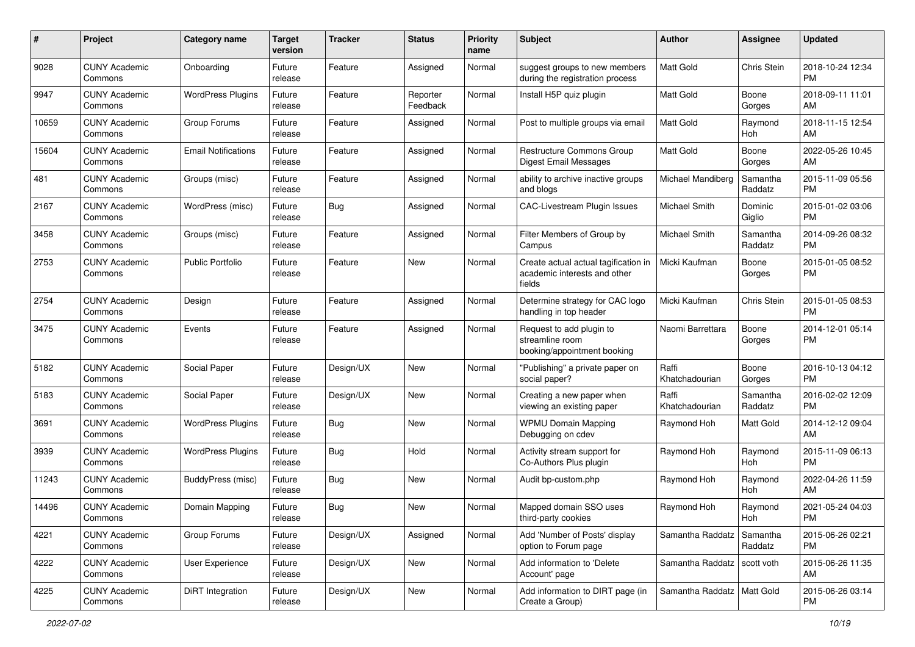| #     | Project                         | <b>Category name</b>       | <b>Target</b><br>version | <b>Tracker</b> | <b>Status</b>        | <b>Priority</b><br>name | Subject                                                                        | <b>Author</b>                 | <b>Assignee</b>     | <b>Updated</b>                |
|-------|---------------------------------|----------------------------|--------------------------|----------------|----------------------|-------------------------|--------------------------------------------------------------------------------|-------------------------------|---------------------|-------------------------------|
| 9028  | <b>CUNY Academic</b><br>Commons | Onboarding                 | Future<br>release        | Feature        | Assigned             | Normal                  | suggest groups to new members<br>during the registration process               | <b>Matt Gold</b>              | Chris Stein         | 2018-10-24 12:34<br><b>PM</b> |
| 9947  | <b>CUNY Academic</b><br>Commons | <b>WordPress Plugins</b>   | Future<br>release        | Feature        | Reporter<br>Feedback | Normal                  | Install H5P quiz plugin                                                        | <b>Matt Gold</b>              | Boone<br>Gorges     | 2018-09-11 11:01<br>AM        |
| 10659 | <b>CUNY Academic</b><br>Commons | Group Forums               | Future<br>release        | Feature        | Assigned             | Normal                  | Post to multiple groups via email                                              | Matt Gold                     | Raymond<br>Hoh      | 2018-11-15 12:54<br>AM        |
| 15604 | <b>CUNY Academic</b><br>Commons | <b>Email Notifications</b> | Future<br>release        | Feature        | Assigned             | Normal                  | Restructure Commons Group<br>Digest Email Messages                             | <b>Matt Gold</b>              | Boone<br>Gorges     | 2022-05-26 10:45<br>AM        |
| 481   | <b>CUNY Academic</b><br>Commons | Groups (misc)              | Future<br>release        | Feature        | Assigned             | Normal                  | ability to archive inactive groups<br>and blogs                                | Michael Mandiberg             | Samantha<br>Raddatz | 2015-11-09 05:56<br><b>PM</b> |
| 2167  | <b>CUNY Academic</b><br>Commons | WordPress (misc)           | Future<br>release        | Bug            | Assigned             | Normal                  | <b>CAC-Livestream Plugin Issues</b>                                            | Michael Smith                 | Dominic<br>Giglio   | 2015-01-02 03:06<br>PM.       |
| 3458  | <b>CUNY Academic</b><br>Commons | Groups (misc)              | Future<br>release        | Feature        | Assigned             | Normal                  | Filter Members of Group by<br>Campus                                           | Michael Smith                 | Samantha<br>Raddatz | 2014-09-26 08:32<br>PM.       |
| 2753  | <b>CUNY Academic</b><br>Commons | <b>Public Portfolio</b>    | Future<br>release        | Feature        | New                  | Normal                  | Create actual actual tagification in<br>academic interests and other<br>fields | Micki Kaufman                 | Boone<br>Gorges     | 2015-01-05 08:52<br>PM.       |
| 2754  | <b>CUNY Academic</b><br>Commons | Design                     | Future<br>release        | Feature        | Assigned             | Normal                  | Determine strategy for CAC logo<br>handling in top header                      | Micki Kaufman                 | Chris Stein         | 2015-01-05 08:53<br>PM.       |
| 3475  | <b>CUNY Academic</b><br>Commons | Events                     | Future<br>release        | Feature        | Assigned             | Normal                  | Request to add plugin to<br>streamline room<br>booking/appointment booking     | Naomi Barrettara              | Boone<br>Gorges     | 2014-12-01 05:14<br>PM.       |
| 5182  | <b>CUNY Academic</b><br>Commons | Social Paper               | Future<br>release        | Design/UX      | New                  | Normal                  | "Publishing" a private paper on<br>social paper?                               | Raffi<br>Khatchadourian       | Boone<br>Gorges     | 2016-10-13 04:12<br><b>PM</b> |
| 5183  | <b>CUNY Academic</b><br>Commons | Social Paper               | Future<br>release        | Design/UX      | New                  | Normal                  | Creating a new paper when<br>viewing an existing paper                         | Raffi<br>Khatchadourian       | Samantha<br>Raddatz | 2016-02-02 12:09<br><b>PM</b> |
| 3691  | <b>CUNY Academic</b><br>Commons | <b>WordPress Plugins</b>   | Future<br>release        | Bug            | <b>New</b>           | Normal                  | <b>WPMU Domain Mapping</b><br>Debugging on cdev                                | Raymond Hoh                   | Matt Gold           | 2014-12-12 09:04<br>AM        |
| 3939  | <b>CUNY Academic</b><br>Commons | <b>WordPress Plugins</b>   | Future<br>release        | <b>Bug</b>     | Hold                 | Normal                  | Activity stream support for<br>Co-Authors Plus plugin                          | Raymond Hoh                   | Raymond<br>Hoh      | 2015-11-09 06:13<br><b>PM</b> |
| 11243 | <b>CUNY Academic</b><br>Commons | BuddyPress (misc)          | Future<br>release        | Bug            | New                  | Normal                  | Audit bp-custom.php                                                            | Raymond Hoh                   | Raymond<br>Hoh      | 2022-04-26 11:59<br>AM.       |
| 14496 | <b>CUNY Academic</b><br>Commons | Domain Mapping             | Future<br>release        | Bug            | New                  | Normal                  | Mapped domain SSO uses<br>third-party cookies                                  | Raymond Hoh                   | Raymond<br>Hoh      | 2021-05-24 04:03<br><b>PM</b> |
| 4221  | <b>CUNY Academic</b><br>Commons | Group Forums               | Future<br>release        | Design/UX      | Assigned             | Normal                  | Add 'Number of Posts' display<br>option to Forum page                          | Samantha Raddatz              | Samantha<br>Raddatz | 2015-06-26 02:21<br><b>PM</b> |
| 4222  | <b>CUNY Academic</b><br>Commons | User Experience            | Future<br>release        | Design/UX      | New                  | Normal                  | Add information to 'Delete<br>Account' page                                    | Samantha Raddatz   scott voth |                     | 2015-06-26 11:35<br>AM        |
| 4225  | <b>CUNY Academic</b><br>Commons | DiRT Integration           | Future<br>release        | Design/UX      | New                  | Normal                  | Add information to DIRT page (in<br>Create a Group)                            | Samantha Raddatz   Matt Gold  |                     | 2015-06-26 03:14<br><b>PM</b> |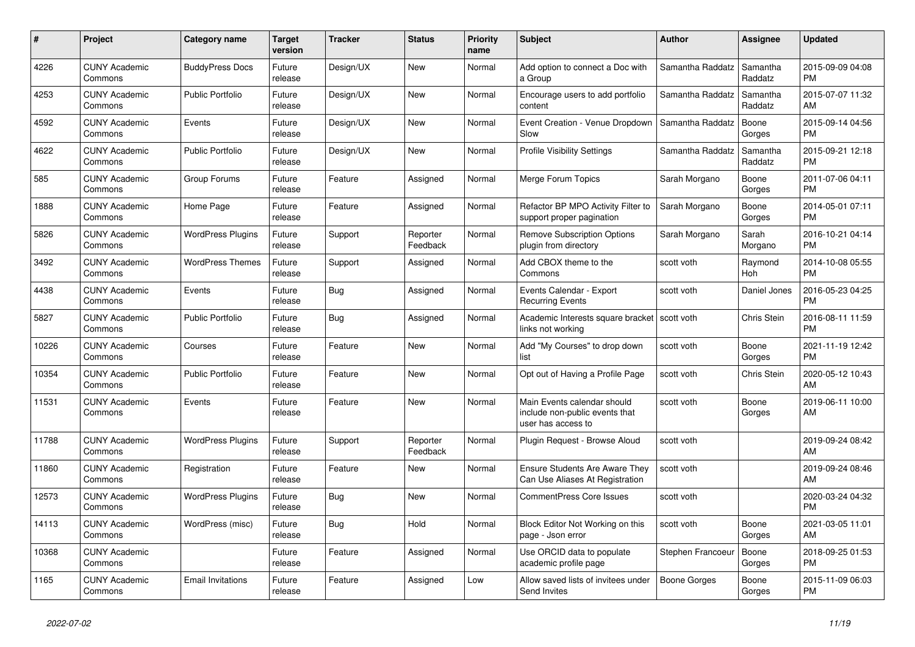| $\#$  | Project                         | <b>Category name</b>     | Target<br>version | <b>Tracker</b> | <b>Status</b>        | <b>Priority</b><br>name | <b>Subject</b>                                                                      | <b>Author</b>    | Assignee            | <b>Updated</b>                |
|-------|---------------------------------|--------------------------|-------------------|----------------|----------------------|-------------------------|-------------------------------------------------------------------------------------|------------------|---------------------|-------------------------------|
| 4226  | <b>CUNY Academic</b><br>Commons | <b>BuddyPress Docs</b>   | Future<br>release | Design/UX      | New                  | Normal                  | Add option to connect a Doc with<br>a Group                                         | Samantha Raddatz | Samantha<br>Raddatz | 2015-09-09 04:08<br><b>PM</b> |
| 4253  | <b>CUNY Academic</b><br>Commons | <b>Public Portfolio</b>  | Future<br>release | Design/UX      | <b>New</b>           | Normal                  | Encourage users to add portfolio<br>content                                         | Samantha Raddatz | Samantha<br>Raddatz | 2015-07-07 11:32<br>AM        |
| 4592  | <b>CUNY Academic</b><br>Commons | Events                   | Future<br>release | Design/UX      | <b>New</b>           | Normal                  | Event Creation - Venue Dropdown<br>Slow                                             | Samantha Raddatz | Boone<br>Gorges     | 2015-09-14 04:56<br><b>PM</b> |
| 4622  | <b>CUNY Academic</b><br>Commons | <b>Public Portfolio</b>  | Future<br>release | Design/UX      | <b>New</b>           | Normal                  | <b>Profile Visibility Settings</b>                                                  | Samantha Raddatz | Samantha<br>Raddatz | 2015-09-21 12:18<br><b>PM</b> |
| 585   | <b>CUNY Academic</b><br>Commons | Group Forums             | Future<br>release | Feature        | Assigned             | Normal                  | Merge Forum Topics                                                                  | Sarah Morgano    | Boone<br>Gorges     | 2011-07-06 04:11<br><b>PM</b> |
| 1888  | <b>CUNY Academic</b><br>Commons | Home Page                | Future<br>release | Feature        | Assigned             | Normal                  | Refactor BP MPO Activity Filter to<br>support proper pagination                     | Sarah Morgano    | Boone<br>Gorges     | 2014-05-01 07:11<br><b>PM</b> |
| 5826  | <b>CUNY Academic</b><br>Commons | <b>WordPress Plugins</b> | Future<br>release | Support        | Reporter<br>Feedback | Normal                  | <b>Remove Subscription Options</b><br>plugin from directory                         | Sarah Morgano    | Sarah<br>Morgano    | 2016-10-21 04:14<br><b>PM</b> |
| 3492  | <b>CUNY Academic</b><br>Commons | <b>WordPress Themes</b>  | Future<br>release | Support        | Assigned             | Normal                  | Add CBOX theme to the<br>Commons                                                    | scott voth       | Raymond<br>Hoh      | 2014-10-08 05:55<br><b>PM</b> |
| 4438  | <b>CUNY Academic</b><br>Commons | Events                   | Future<br>release | Bug            | Assigned             | Normal                  | Events Calendar - Export<br><b>Recurring Events</b>                                 | scott voth       | Daniel Jones        | 2016-05-23 04:25<br><b>PM</b> |
| 5827  | <b>CUNY Academic</b><br>Commons | <b>Public Portfolio</b>  | Future<br>release | <b>Bug</b>     | Assigned             | Normal                  | Academic Interests square bracket   scott voth<br>links not working                 |                  | Chris Stein         | 2016-08-11 11:59<br><b>PM</b> |
| 10226 | <b>CUNY Academic</b><br>Commons | Courses                  | Future<br>release | Feature        | <b>New</b>           | Normal                  | Add "My Courses" to drop down<br>list                                               | scott voth       | Boone<br>Gorges     | 2021-11-19 12:42<br><b>PM</b> |
| 10354 | <b>CUNY Academic</b><br>Commons | <b>Public Portfolio</b>  | Future<br>release | Feature        | New                  | Normal                  | Opt out of Having a Profile Page                                                    | scott voth       | <b>Chris Stein</b>  | 2020-05-12 10:43<br>AM        |
| 11531 | <b>CUNY Academic</b><br>Commons | Events                   | Future<br>release | Feature        | <b>New</b>           | Normal                  | Main Events calendar should<br>include non-public events that<br>user has access to | scott voth       | Boone<br>Gorges     | 2019-06-11 10:00<br>AM        |
| 11788 | <b>CUNY Academic</b><br>Commons | <b>WordPress Plugins</b> | Future<br>release | Support        | Reporter<br>Feedback | Normal                  | Plugin Request - Browse Aloud                                                       | scott voth       |                     | 2019-09-24 08:42<br>AM        |
| 11860 | <b>CUNY Academic</b><br>Commons | Registration             | Future<br>release | Feature        | New                  | Normal                  | Ensure Students Are Aware They<br>Can Use Aliases At Registration                   | scott voth       |                     | 2019-09-24 08:46<br>AM        |
| 12573 | <b>CUNY Academic</b><br>Commons | <b>WordPress Plugins</b> | Future<br>release | <b>Bug</b>     | <b>New</b>           | Normal                  | <b>CommentPress Core Issues</b>                                                     | scott voth       |                     | 2020-03-24 04:32<br><b>PM</b> |
| 14113 | <b>CUNY Academic</b><br>Commons | WordPress (misc)         | Future<br>release | Bug            | Hold                 | Normal                  | Block Editor Not Working on this<br>page - Json error                               | scott voth       | Boone<br>Gorges     | 2021-03-05 11:01<br>AM        |
| 10368 | <b>CUNY Academic</b><br>Commons |                          | Future<br>release | Feature        | Assigned             | Normal                  | Use ORCID data to populate<br>academic profile page                                 | Stephen Francoeu | Boone<br>Gorges     | 2018-09-25 01:53<br><b>PM</b> |
| 1165  | <b>CUNY Academic</b><br>Commons | <b>Email Invitations</b> | Future<br>release | Feature        | Assigned             | Low                     | Allow saved lists of invitees under<br>Send Invites                                 | Boone Gorges     | Boone<br>Gorges     | 2015-11-09 06:03<br>PM        |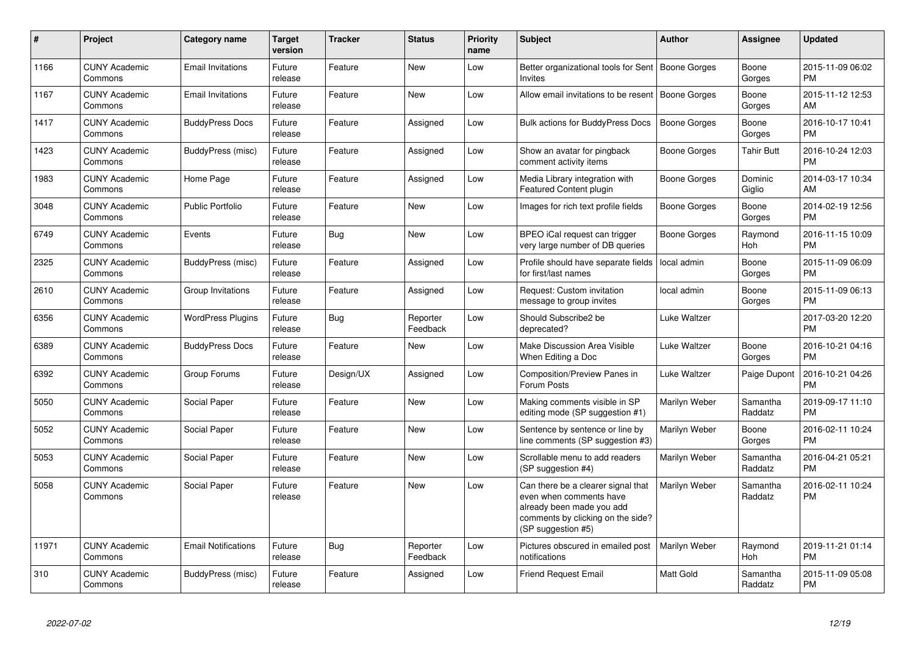| $\pmb{\#}$ | Project                         | <b>Category name</b>       | <b>Target</b><br>version | <b>Tracker</b> | <b>Status</b>        | <b>Priority</b><br>name | <b>Subject</b>                                                                                                                                        | <b>Author</b>    | <b>Assignee</b>     | <b>Updated</b>                |
|------------|---------------------------------|----------------------------|--------------------------|----------------|----------------------|-------------------------|-------------------------------------------------------------------------------------------------------------------------------------------------------|------------------|---------------------|-------------------------------|
| 1166       | <b>CUNY Academic</b><br>Commons | <b>Email Invitations</b>   | Future<br>release        | Feature        | <b>New</b>           | Low                     | Better organizational tools for Sent   Boone Gorges<br><b>Invites</b>                                                                                 |                  | Boone<br>Gorges     | 2015-11-09 06:02<br><b>PM</b> |
| 1167       | <b>CUNY Academic</b><br>Commons | <b>Email Invitations</b>   | Future<br>release        | Feature        | <b>New</b>           | Low                     | Allow email invitations to be resent   Boone Gorges                                                                                                   |                  | Boone<br>Gorges     | 2015-11-12 12:53<br>AM        |
| 1417       | <b>CUNY Academic</b><br>Commons | <b>BuddyPress Docs</b>     | Future<br>release        | Feature        | Assigned             | Low                     | Bulk actions for BuddyPress Docs                                                                                                                      | Boone Gorges     | Boone<br>Gorges     | 2016-10-17 10:41<br><b>PM</b> |
| 1423       | <b>CUNY Academic</b><br>Commons | BuddyPress (misc)          | Future<br>release        | Feature        | Assigned             | Low                     | Show an avatar for pingback<br>comment activity items                                                                                                 | Boone Gorges     | Tahir Butt          | 2016-10-24 12:03<br><b>PM</b> |
| 1983       | <b>CUNY Academic</b><br>Commons | Home Page                  | Future<br>release        | Feature        | Assigned             | Low                     | Media Library integration with<br>Featured Content plugin                                                                                             | Boone Gorges     | Dominic<br>Giglio   | 2014-03-17 10:34<br>AM        |
| 3048       | <b>CUNY Academic</b><br>Commons | <b>Public Portfolio</b>    | Future<br>release        | Feature        | New                  | Low                     | Images for rich text profile fields                                                                                                                   | Boone Gorges     | Boone<br>Gorges     | 2014-02-19 12:56<br><b>PM</b> |
| 6749       | <b>CUNY Academic</b><br>Commons | Events                     | Future<br>release        | Bug            | <b>New</b>           | Low                     | BPEO iCal request can trigger<br>very large number of DB queries                                                                                      | Boone Gorges     | Raymond<br>Hoh      | 2016-11-15 10:09<br><b>PM</b> |
| 2325       | <b>CUNY Academic</b><br>Commons | BuddyPress (misc)          | Future<br>release        | Feature        | Assigned             | Low                     | Profile should have separate fields<br>for first/last names                                                                                           | local admin      | Boone<br>Gorges     | 2015-11-09 06:09<br><b>PM</b> |
| 2610       | <b>CUNY Academic</b><br>Commons | Group Invitations          | Future<br>release        | Feature        | Assigned             | Low                     | Request: Custom invitation<br>message to group invites                                                                                                | local admin      | Boone<br>Gorges     | 2015-11-09 06:13<br><b>PM</b> |
| 6356       | <b>CUNY Academic</b><br>Commons | <b>WordPress Plugins</b>   | Future<br>release        | Bug            | Reporter<br>Feedback | Low                     | Should Subscribe2 be<br>deprecated?                                                                                                                   | Luke Waltzer     |                     | 2017-03-20 12:20<br><b>PM</b> |
| 6389       | <b>CUNY Academic</b><br>Commons | <b>BuddyPress Docs</b>     | Future<br>release        | Feature        | New                  | Low                     | Make Discussion Area Visible<br>When Editing a Doc                                                                                                    | Luke Waltzer     | Boone<br>Gorges     | 2016-10-21 04:16<br><b>PM</b> |
| 6392       | <b>CUNY Academic</b><br>Commons | Group Forums               | Future<br>release        | Design/UX      | Assigned             | Low                     | Composition/Preview Panes in<br>Forum Posts                                                                                                           | Luke Waltzer     | Paige Dupont        | 2016-10-21 04:26<br><b>PM</b> |
| 5050       | <b>CUNY Academic</b><br>Commons | Social Paper               | Future<br>release        | Feature        | New                  | Low                     | Making comments visible in SP<br>editing mode (SP suggestion #1)                                                                                      | Marilyn Weber    | Samantha<br>Raddatz | 2019-09-17 11:10<br><b>PM</b> |
| 5052       | <b>CUNY Academic</b><br>Commons | Social Paper               | Future<br>release        | Feature        | <b>New</b>           | Low                     | Sentence by sentence or line by<br>line comments (SP suggestion #3)                                                                                   | Marilyn Weber    | Boone<br>Gorges     | 2016-02-11 10:24<br><b>PM</b> |
| 5053       | <b>CUNY Academic</b><br>Commons | Social Paper               | Future<br>release        | Feature        | <b>New</b>           | Low                     | Scrollable menu to add readers<br>(SP suggestion #4)                                                                                                  | Marilyn Weber    | Samantha<br>Raddatz | 2016-04-21 05:21<br><b>PM</b> |
| 5058       | <b>CUNY Academic</b><br>Commons | Social Paper               | Future<br>release        | Feature        | <b>New</b>           | Low                     | Can there be a clearer signal that<br>even when comments have<br>already been made you add<br>comments by clicking on the side?<br>(SP suggestion #5) | Marilyn Weber    | Samantha<br>Raddatz | 2016-02-11 10:24<br><b>PM</b> |
| 11971      | <b>CUNY Academic</b><br>Commons | <b>Email Notifications</b> | Future<br>release        | <b>Bug</b>     | Reporter<br>Feedback | Low                     | Pictures obscured in emailed post<br>notifications                                                                                                    | Marilyn Weber    | Raymond<br>Hoh      | 2019-11-21 01:14<br><b>PM</b> |
| 310        | <b>CUNY Academic</b><br>Commons | BuddyPress (misc)          | Future<br>release        | Feature        | Assigned             | Low                     | <b>Friend Request Email</b>                                                                                                                           | <b>Matt Gold</b> | Samantha<br>Raddatz | 2015-11-09 05:08<br><b>PM</b> |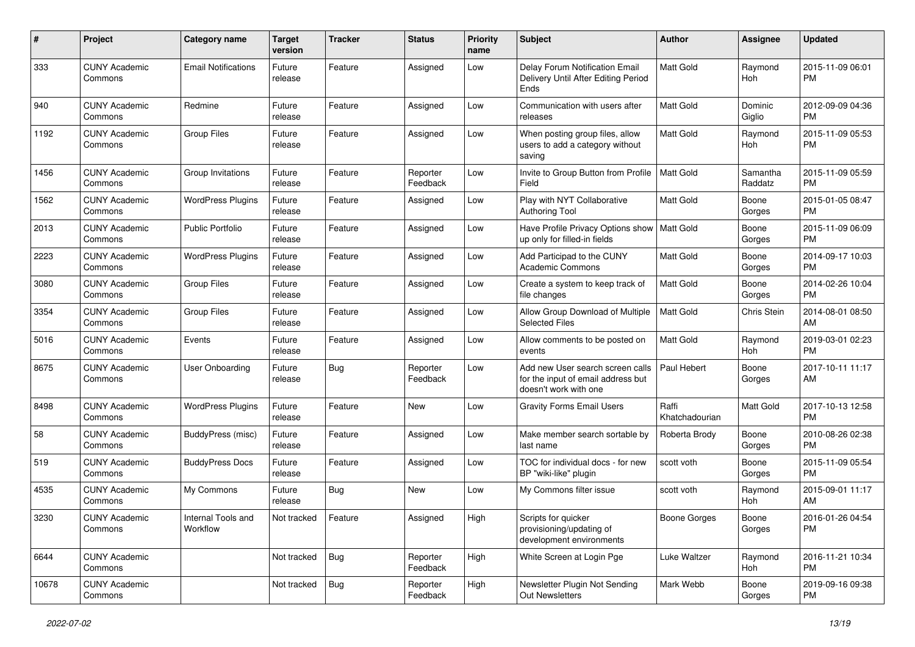| #     | Project                         | Category name                  | <b>Target</b><br>version | Tracker | <b>Status</b>        | <b>Priority</b><br>name | <b>Subject</b>                                                                                  | Author                  | Assignee            | <b>Updated</b>                |
|-------|---------------------------------|--------------------------------|--------------------------|---------|----------------------|-------------------------|-------------------------------------------------------------------------------------------------|-------------------------|---------------------|-------------------------------|
| 333   | <b>CUNY Academic</b><br>Commons | <b>Email Notifications</b>     | Future<br>release        | Feature | Assigned             | Low                     | Delay Forum Notification Email<br>Delivery Until After Editing Period<br>Ends                   | Matt Gold               | Raymond<br>Hoh      | 2015-11-09 06:01<br><b>PM</b> |
| 940   | <b>CUNY Academic</b><br>Commons | Redmine                        | Future<br>release        | Feature | Assigned             | Low                     | Communication with users after<br>releases                                                      | <b>Matt Gold</b>        | Dominic<br>Giglio   | 2012-09-09 04:36<br>PM.       |
| 1192  | <b>CUNY Academic</b><br>Commons | Group Files                    | Future<br>release        | Feature | Assigned             | Low                     | When posting group files, allow<br>users to add a category without<br>saving                    | Matt Gold               | Raymond<br>Hoh      | 2015-11-09 05:53<br><b>PM</b> |
| 1456  | <b>CUNY Academic</b><br>Commons | Group Invitations              | Future<br>release        | Feature | Reporter<br>Feedback | Low                     | Invite to Group Button from Profile   Matt Gold<br>Field                                        |                         | Samantha<br>Raddatz | 2015-11-09 05:59<br>PM.       |
| 1562  | <b>CUNY Academic</b><br>Commons | <b>WordPress Plugins</b>       | Future<br>release        | Feature | Assigned             | Low                     | Play with NYT Collaborative<br><b>Authoring Tool</b>                                            | Matt Gold               | Boone<br>Gorges     | 2015-01-05 08:47<br>PM.       |
| 2013  | <b>CUNY Academic</b><br>Commons | <b>Public Portfolio</b>        | Future<br>release        | Feature | Assigned             | Low                     | Have Profile Privacy Options show   Matt Gold<br>up only for filled-in fields                   |                         | Boone<br>Gorges     | 2015-11-09 06:09<br><b>PM</b> |
| 2223  | <b>CUNY Academic</b><br>Commons | <b>WordPress Plugins</b>       | Future<br>release        | Feature | Assigned             | Low                     | Add Participad to the CUNY<br><b>Academic Commons</b>                                           | <b>Matt Gold</b>        | Boone<br>Gorges     | 2014-09-17 10:03<br><b>PM</b> |
| 3080  | <b>CUNY Academic</b><br>Commons | <b>Group Files</b>             | Future<br>release        | Feature | Assigned             | Low                     | Create a system to keep track of<br>file changes                                                | Matt Gold               | Boone<br>Gorges     | 2014-02-26 10:04<br><b>PM</b> |
| 3354  | <b>CUNY Academic</b><br>Commons | <b>Group Files</b>             | Future<br>release        | Feature | Assigned             | Low                     | Allow Group Download of Multiple<br><b>Selected Files</b>                                       | <b>Matt Gold</b>        | Chris Stein         | 2014-08-01 08:50<br>AM        |
| 5016  | <b>CUNY Academic</b><br>Commons | Events                         | Future<br>release        | Feature | Assigned             | Low                     | Allow comments to be posted on<br>events                                                        | <b>Matt Gold</b>        | Raymond<br>Hoh      | 2019-03-01 02:23<br><b>PM</b> |
| 8675  | <b>CUNY Academic</b><br>Commons | User Onboarding                | Future<br>release        | Bug     | Reporter<br>Feedback | Low                     | Add new User search screen calls<br>for the input of email address but<br>doesn't work with one | Paul Hebert             | Boone<br>Gorges     | 2017-10-11 11:17<br>AM        |
| 8498  | <b>CUNY Academic</b><br>Commons | <b>WordPress Plugins</b>       | Future<br>release        | Feature | <b>New</b>           | Low                     | <b>Gravity Forms Email Users</b>                                                                | Raffi<br>Khatchadourian | Matt Gold           | 2017-10-13 12:58<br><b>PM</b> |
| 58    | <b>CUNY Academic</b><br>Commons | <b>BuddyPress (misc)</b>       | Future<br>release        | Feature | Assigned             | Low                     | Make member search sortable by<br>last name                                                     | Roberta Brody           | Boone<br>Gorges     | 2010-08-26 02:38<br><b>PM</b> |
| 519   | <b>CUNY Academic</b><br>Commons | <b>BuddyPress Docs</b>         | Future<br>release        | Feature | Assigned             | Low                     | TOC for individual docs - for new<br>BP "wiki-like" plugin                                      | scott voth              | Boone<br>Gorges     | 2015-11-09 05:54<br><b>PM</b> |
| 4535  | <b>CUNY Academic</b><br>Commons | My Commons                     | Future<br>release        | Bug     | <b>New</b>           | Low                     | My Commons filter issue                                                                         | scott voth              | Raymond<br>Hoh      | 2015-09-01 11:17<br>AM        |
| 3230  | <b>CUNY Academic</b><br>Commons | Internal Tools and<br>Workflow | Not tracked Feature      |         | Assigned             | $ $ High                | Scripts for quicker<br>provisioning/updating of<br>development environments                     | Boone Gorges            | Boone<br>Gorges     | 2016-01-26 04:54<br><b>PM</b> |
| 6644  | <b>CUNY Academic</b><br>Commons |                                | Not tracked              | Bug     | Reporter<br>Feedback | High                    | White Screen at Login Pge                                                                       | Luke Waltzer            | Raymond<br>Hoh      | 2016-11-21 10:34<br><b>PM</b> |
| 10678 | <b>CUNY Academic</b><br>Commons |                                | Not tracked              | Bug     | Reporter<br>Feedback | High                    | Newsletter Plugin Not Sending<br>Out Newsletters                                                | Mark Webb               | Boone<br>Gorges     | 2019-09-16 09:38<br><b>PM</b> |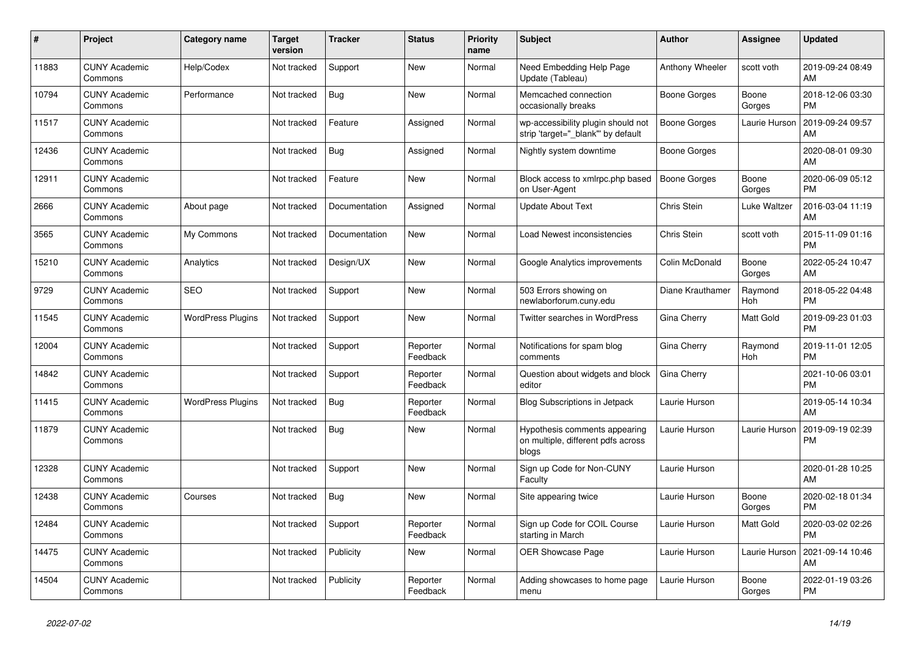| #     | Project                         | <b>Category name</b>     | <b>Target</b><br>version | <b>Tracker</b> | <b>Status</b>        | <b>Priority</b><br>name | <b>Subject</b>                                                               | <b>Author</b>    | Assignee        | <b>Updated</b>                |
|-------|---------------------------------|--------------------------|--------------------------|----------------|----------------------|-------------------------|------------------------------------------------------------------------------|------------------|-----------------|-------------------------------|
| 11883 | <b>CUNY Academic</b><br>Commons | Help/Codex               | Not tracked              | Support        | <b>New</b>           | Normal                  | Need Embedding Help Page<br>Update (Tableau)                                 | Anthony Wheeler  | scott voth      | 2019-09-24 08:49<br>AM        |
| 10794 | <b>CUNY Academic</b><br>Commons | Performance              | Not tracked              | Bug            | New                  | Normal                  | Memcached connection<br>occasionally breaks                                  | Boone Gorges     | Boone<br>Gorges | 2018-12-06 03:30<br><b>PM</b> |
| 11517 | <b>CUNY Academic</b><br>Commons |                          | Not tracked              | Feature        | Assigned             | Normal                  | wp-accessibility plugin should not<br>strip 'target=" blank" by default      | Boone Gorges     | Laurie Hurson   | 2019-09-24 09:57<br>AM        |
| 12436 | <b>CUNY Academic</b><br>Commons |                          | Not tracked              | Bug            | Assigned             | Normal                  | Nightly system downtime                                                      | Boone Gorges     |                 | 2020-08-01 09:30<br>AM        |
| 12911 | <b>CUNY Academic</b><br>Commons |                          | Not tracked              | Feature        | New                  | Normal                  | Block access to xmlrpc.php based<br>on User-Agent                            | Boone Gorges     | Boone<br>Gorges | 2020-06-09 05:12<br><b>PM</b> |
| 2666  | <b>CUNY Academic</b><br>Commons | About page               | Not tracked              | Documentation  | Assigned             | Normal                  | <b>Update About Text</b>                                                     | Chris Stein      | Luke Waltzer    | 2016-03-04 11:19<br>AM        |
| 3565  | <b>CUNY Academic</b><br>Commons | My Commons               | Not tracked              | Documentation  | <b>New</b>           | Normal                  | Load Newest inconsistencies                                                  | Chris Stein      | scott voth      | 2015-11-09 01:16<br><b>PM</b> |
| 15210 | <b>CUNY Academic</b><br>Commons | Analytics                | Not tracked              | Design/UX      | <b>New</b>           | Normal                  | Google Analytics improvements                                                | Colin McDonald   | Boone<br>Gorges | 2022-05-24 10:47<br>AM        |
| 9729  | <b>CUNY Academic</b><br>Commons | <b>SEO</b>               | Not tracked              | Support        | New                  | Normal                  | 503 Errors showing on<br>newlaborforum.cuny.edu                              | Diane Krauthamer | Raymond<br>Hoh  | 2018-05-22 04:48<br><b>PM</b> |
| 11545 | <b>CUNY Academic</b><br>Commons | <b>WordPress Plugins</b> | Not tracked              | Support        | New                  | Normal                  | <b>Twitter searches in WordPress</b>                                         | Gina Cherry      | Matt Gold       | 2019-09-23 01:03<br><b>PM</b> |
| 12004 | <b>CUNY Academic</b><br>Commons |                          | Not tracked              | Support        | Reporter<br>Feedback | Normal                  | Notifications for spam blog<br>comments                                      | Gina Cherry      | Raymond<br>Hoh  | 2019-11-01 12:05<br><b>PM</b> |
| 14842 | <b>CUNY Academic</b><br>Commons |                          | Not tracked              | Support        | Reporter<br>Feedback | Normal                  | Question about widgets and block<br>editor                                   | Gina Cherry      |                 | 2021-10-06 03:01<br><b>PM</b> |
| 11415 | <b>CUNY Academic</b><br>Commons | <b>WordPress Plugins</b> | Not tracked              | Bug            | Reporter<br>Feedback | Normal                  | Blog Subscriptions in Jetpack                                                | Laurie Hurson    |                 | 2019-05-14 10:34<br>AM        |
| 11879 | <b>CUNY Academic</b><br>Commons |                          | Not tracked              | Bug            | <b>New</b>           | Normal                  | Hypothesis comments appearing<br>on multiple, different pdfs across<br>blogs | Laurie Hurson    | Laurie Hurson   | 2019-09-19 02:39<br><b>PM</b> |
| 12328 | <b>CUNY Academic</b><br>Commons |                          | Not tracked              | Support        | New                  | Normal                  | Sign up Code for Non-CUNY<br>Faculty                                         | Laurie Hurson    |                 | 2020-01-28 10:25<br>AM        |
| 12438 | <b>CUNY Academic</b><br>Commons | Courses                  | Not tracked              | <b>Bug</b>     | <b>New</b>           | Normal                  | Site appearing twice                                                         | Laurie Hurson    | Boone<br>Gorges | 2020-02-18 01:34<br><b>PM</b> |
| 12484 | <b>CUNY Academic</b><br>Commons |                          | Not tracked              | Support        | Reporter<br>Feedback | Normal                  | Sign up Code for COIL Course<br>starting in March                            | Laurie Hurson    | Matt Gold       | 2020-03-02 02:26<br><b>PM</b> |
| 14475 | <b>CUNY Academic</b><br>Commons |                          | Not tracked              | Publicity      | New                  | Normal                  | <b>OER Showcase Page</b>                                                     | Laurie Hurson    | Laurie Hurson   | 2021-09-14 10:46<br>AM        |
| 14504 | <b>CUNY Academic</b><br>Commons |                          | Not tracked              | Publicity      | Reporter<br>Feedback | Normal                  | Adding showcases to home page<br>menu                                        | Laurie Hurson    | Boone<br>Gorges | 2022-01-19 03:26<br><b>PM</b> |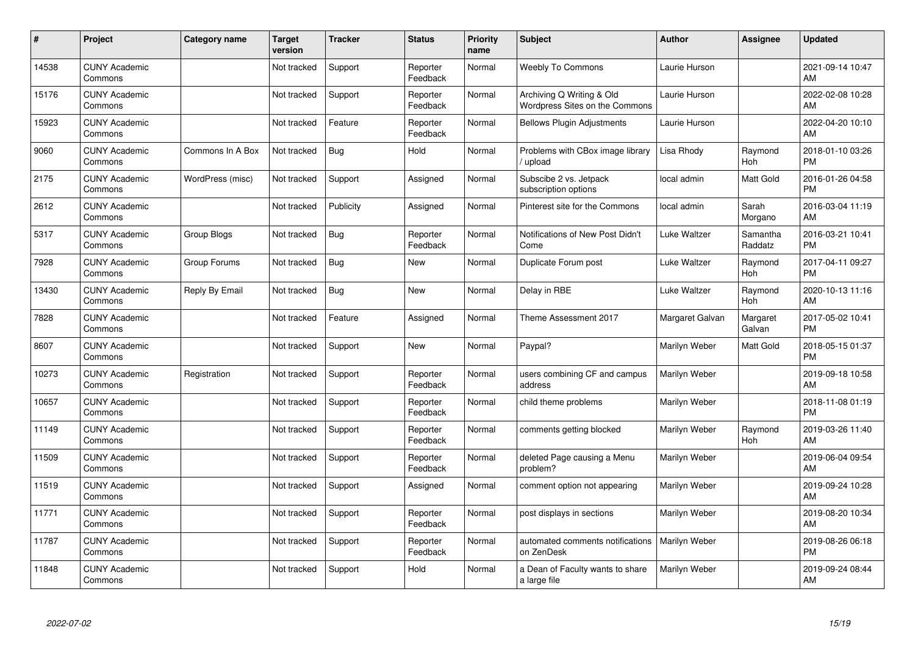| #     | Project                         | <b>Category name</b> | <b>Target</b><br>version | <b>Tracker</b> | <b>Status</b>        | <b>Priority</b><br>name | <b>Subject</b>                                              | <b>Author</b>   | <b>Assignee</b>     | <b>Updated</b>                |
|-------|---------------------------------|----------------------|--------------------------|----------------|----------------------|-------------------------|-------------------------------------------------------------|-----------------|---------------------|-------------------------------|
| 14538 | <b>CUNY Academic</b><br>Commons |                      | Not tracked              | Support        | Reporter<br>Feedback | Normal                  | <b>Weebly To Commons</b>                                    | Laurie Hurson   |                     | 2021-09-14 10:47<br>AM        |
| 15176 | <b>CUNY Academic</b><br>Commons |                      | Not tracked              | Support        | Reporter<br>Feedback | Normal                  | Archiving Q Writing & Old<br>Wordpress Sites on the Commons | Laurie Hurson   |                     | 2022-02-08 10:28<br>AM        |
| 15923 | <b>CUNY Academic</b><br>Commons |                      | Not tracked              | Feature        | Reporter<br>Feedback | Normal                  | <b>Bellows Plugin Adjustments</b>                           | Laurie Hurson   |                     | 2022-04-20 10:10<br>AM        |
| 9060  | <b>CUNY Academic</b><br>Commons | Commons In A Box     | Not tracked              | Bug            | Hold                 | Normal                  | Problems with CBox image library<br>/ upload                | Lisa Rhody      | Raymond<br>Hoh      | 2018-01-10 03:26<br><b>PM</b> |
| 2175  | <b>CUNY Academic</b><br>Commons | WordPress (misc)     | Not tracked              | Support        | Assigned             | Normal                  | Subscibe 2 vs. Jetpack<br>subscription options              | local admin     | Matt Gold           | 2016-01-26 04:58<br><b>PM</b> |
| 2612  | <b>CUNY Academic</b><br>Commons |                      | Not tracked              | Publicity      | Assigned             | Normal                  | Pinterest site for the Commons                              | local admin     | Sarah<br>Morgano    | 2016-03-04 11:19<br>AM.       |
| 5317  | <b>CUNY Academic</b><br>Commons | Group Blogs          | Not tracked              | <b>Bug</b>     | Reporter<br>Feedback | Normal                  | Notifications of New Post Didn't<br>Come                    | Luke Waltzer    | Samantha<br>Raddatz | 2016-03-21 10:41<br><b>PM</b> |
| 7928  | <b>CUNY Academic</b><br>Commons | Group Forums         | Not tracked              | Bug            | New                  | Normal                  | Duplicate Forum post                                        | Luke Waltzer    | Raymond<br>Hoh      | 2017-04-11 09:27<br><b>PM</b> |
| 13430 | <b>CUNY Academic</b><br>Commons | Reply By Email       | Not tracked              | <b>Bug</b>     | <b>New</b>           | Normal                  | Delay in RBE                                                | Luke Waltzer    | Raymond<br>Hoh      | 2020-10-13 11:16<br>AM        |
| 7828  | <b>CUNY Academic</b><br>Commons |                      | Not tracked              | Feature        | Assigned             | Normal                  | Theme Assessment 2017                                       | Margaret Galvan | Margaret<br>Galvan  | 2017-05-02 10:41<br><b>PM</b> |
| 8607  | <b>CUNY Academic</b><br>Commons |                      | Not tracked              | Support        | New                  | Normal                  | Paypal?                                                     | Marilyn Weber   | Matt Gold           | 2018-05-15 01:37<br><b>PM</b> |
| 10273 | <b>CUNY Academic</b><br>Commons | Registration         | Not tracked              | Support        | Reporter<br>Feedback | Normal                  | users combining CF and campus<br>address                    | Marilyn Weber   |                     | 2019-09-18 10:58<br>AM        |
| 10657 | <b>CUNY Academic</b><br>Commons |                      | Not tracked              | Support        | Reporter<br>Feedback | Normal                  | child theme problems                                        | Marilyn Weber   |                     | 2018-11-08 01:19<br><b>PM</b> |
| 11149 | <b>CUNY Academic</b><br>Commons |                      | Not tracked              | Support        | Reporter<br>Feedback | Normal                  | comments getting blocked                                    | Marilyn Weber   | Raymond<br>Hoh      | 2019-03-26 11:40<br><b>AM</b> |
| 11509 | <b>CUNY Academic</b><br>Commons |                      | Not tracked              | Support        | Reporter<br>Feedback | Normal                  | deleted Page causing a Menu<br>problem?                     | Marilyn Weber   |                     | 2019-06-04 09:54<br><b>AM</b> |
| 11519 | <b>CUNY Academic</b><br>Commons |                      | Not tracked              | Support        | Assigned             | Normal                  | comment option not appearing                                | Marilyn Weber   |                     | 2019-09-24 10:28<br>AM        |
| 11771 | <b>CUNY Academic</b><br>Commons |                      | Not tracked              | Support        | Reporter<br>Feedback | Normal                  | post displays in sections                                   | Marilyn Weber   |                     | 2019-08-20 10:34<br>AM        |
| 11787 | <b>CUNY Academic</b><br>Commons |                      | Not tracked              | Support        | Reporter<br>Feedback | Normal                  | automated comments notifications<br>on ZenDesk              | Marilyn Weber   |                     | 2019-08-26 06:18<br><b>PM</b> |
| 11848 | <b>CUNY Academic</b><br>Commons |                      | Not tracked              | Support        | Hold                 | Normal                  | a Dean of Faculty wants to share<br>a large file            | Marilyn Weber   |                     | 2019-09-24 08:44<br>AM        |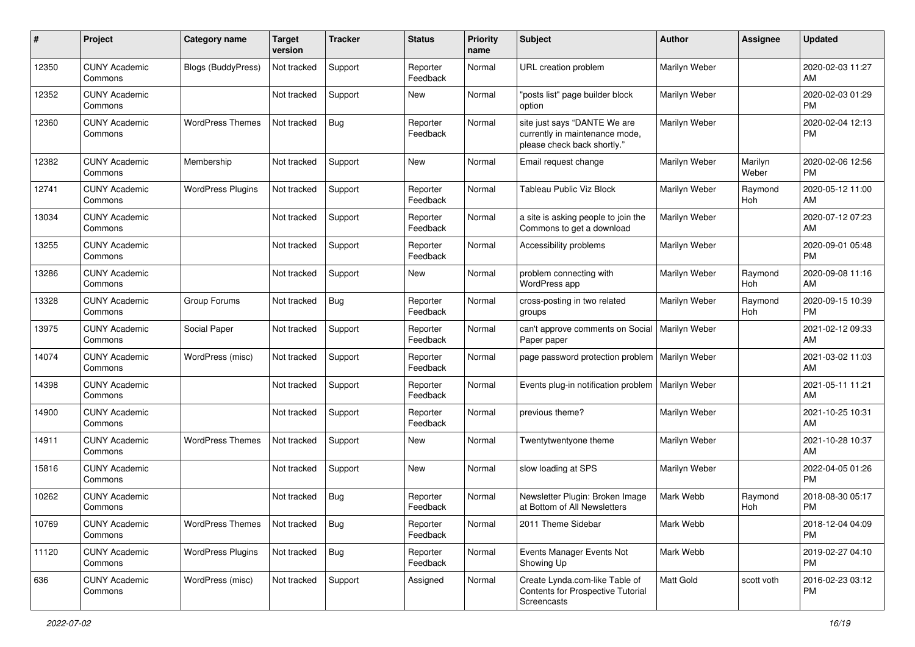| #     | Project                         | Category name            | <b>Target</b><br>version | <b>Tracker</b> | <b>Status</b>        | Priority<br>name | <b>Subject</b>                                                                                | <b>Author</b> | <b>Assignee</b>  | <b>Updated</b>                |
|-------|---------------------------------|--------------------------|--------------------------|----------------|----------------------|------------------|-----------------------------------------------------------------------------------------------|---------------|------------------|-------------------------------|
| 12350 | <b>CUNY Academic</b><br>Commons | Blogs (BuddyPress)       | Not tracked              | Support        | Reporter<br>Feedback | Normal           | URL creation problem                                                                          | Marilyn Weber |                  | 2020-02-03 11:27<br>AM        |
| 12352 | <b>CUNY Academic</b><br>Commons |                          | Not tracked              | Support        | New                  | Normal           | "posts list" page builder block<br>option                                                     | Marilyn Weber |                  | 2020-02-03 01:29<br><b>PM</b> |
| 12360 | <b>CUNY Academic</b><br>Commons | <b>WordPress Themes</b>  | Not tracked              | Bug            | Reporter<br>Feedback | Normal           | site just says "DANTE We are<br>currently in maintenance mode,<br>please check back shortly." | Marilyn Weber |                  | 2020-02-04 12:13<br><b>PM</b> |
| 12382 | <b>CUNY Academic</b><br>Commons | Membership               | Not tracked              | Support        | New                  | Normal           | Email request change                                                                          | Marilyn Weber | Marilyn<br>Weber | 2020-02-06 12:56<br><b>PM</b> |
| 12741 | <b>CUNY Academic</b><br>Commons | <b>WordPress Plugins</b> | Not tracked              | Support        | Reporter<br>Feedback | Normal           | Tableau Public Viz Block                                                                      | Marilyn Weber | Raymond<br>Hoh   | 2020-05-12 11:00<br>AM        |
| 13034 | <b>CUNY Academic</b><br>Commons |                          | Not tracked              | Support        | Reporter<br>Feedback | Normal           | a site is asking people to join the<br>Commons to get a download                              | Marilyn Weber |                  | 2020-07-12 07:23<br>AM        |
| 13255 | <b>CUNY Academic</b><br>Commons |                          | Not tracked              | Support        | Reporter<br>Feedback | Normal           | Accessibility problems                                                                        | Marilyn Weber |                  | 2020-09-01 05:48<br><b>PM</b> |
| 13286 | <b>CUNY Academic</b><br>Commons |                          | Not tracked              | Support        | New                  | Normal           | problem connecting with<br>WordPress app                                                      | Marilyn Weber | Raymond<br>Hoh   | 2020-09-08 11:16<br>AM        |
| 13328 | <b>CUNY Academic</b><br>Commons | Group Forums             | Not tracked              | Bug            | Reporter<br>Feedback | Normal           | cross-posting in two related<br>groups                                                        | Marilyn Weber | Raymond<br>Hoh   | 2020-09-15 10:39<br><b>PM</b> |
| 13975 | <b>CUNY Academic</b><br>Commons | Social Paper             | Not tracked              | Support        | Reporter<br>Feedback | Normal           | can't approve comments on Social<br>Paper paper                                               | Marilyn Weber |                  | 2021-02-12 09:33<br>AM        |
| 14074 | <b>CUNY Academic</b><br>Commons | WordPress (misc)         | Not tracked              | Support        | Reporter<br>Feedback | Normal           | page password protection problem                                                              | Marilyn Weber |                  | 2021-03-02 11:03<br>AM        |
| 14398 | <b>CUNY Academic</b><br>Commons |                          | Not tracked              | Support        | Reporter<br>Feedback | Normal           | Events plug-in notification problem                                                           | Marilyn Weber |                  | 2021-05-11 11:21<br>AM        |
| 14900 | <b>CUNY Academic</b><br>Commons |                          | Not tracked              | Support        | Reporter<br>Feedback | Normal           | previous theme?                                                                               | Marilyn Weber |                  | 2021-10-25 10:31<br>AM        |
| 14911 | <b>CUNY Academic</b><br>Commons | <b>WordPress Themes</b>  | Not tracked              | Support        | New                  | Normal           | Twentytwentyone theme                                                                         | Marilyn Weber |                  | 2021-10-28 10:37<br>AM        |
| 15816 | <b>CUNY Academic</b><br>Commons |                          | Not tracked              | Support        | <b>New</b>           | Normal           | slow loading at SPS                                                                           | Marilyn Weber |                  | 2022-04-05 01:26<br><b>PM</b> |
| 10262 | <b>CUNY Academic</b><br>Commons |                          | Not tracked              | <b>Bug</b>     | Reporter<br>Feedback | Normal           | Newsletter Plugin: Broken Image<br>at Bottom of All Newsletters                               | Mark Webb     | Raymond<br>Hoh   | 2018-08-30 05:17<br><b>PM</b> |
| 10769 | <b>CUNY Academic</b><br>Commons | <b>WordPress Themes</b>  | Not tracked Bug          |                | Reporter<br>Feedback | Normal           | 2011 Theme Sidebar                                                                            | Mark Webb     |                  | 2018-12-04 04:09<br>PM        |
| 11120 | <b>CUNY Academic</b><br>Commons | <b>WordPress Plugins</b> | Not tracked              | Bug            | Reporter<br>Feedback | Normal           | Events Manager Events Not<br>Showing Up                                                       | Mark Webb     |                  | 2019-02-27 04:10<br><b>PM</b> |
| 636   | <b>CUNY Academic</b><br>Commons | WordPress (misc)         | Not tracked              | Support        | Assigned             | Normal           | Create Lynda.com-like Table of<br>Contents for Prospective Tutorial<br>Screencasts            | Matt Gold     | scott voth       | 2016-02-23 03:12<br>PM        |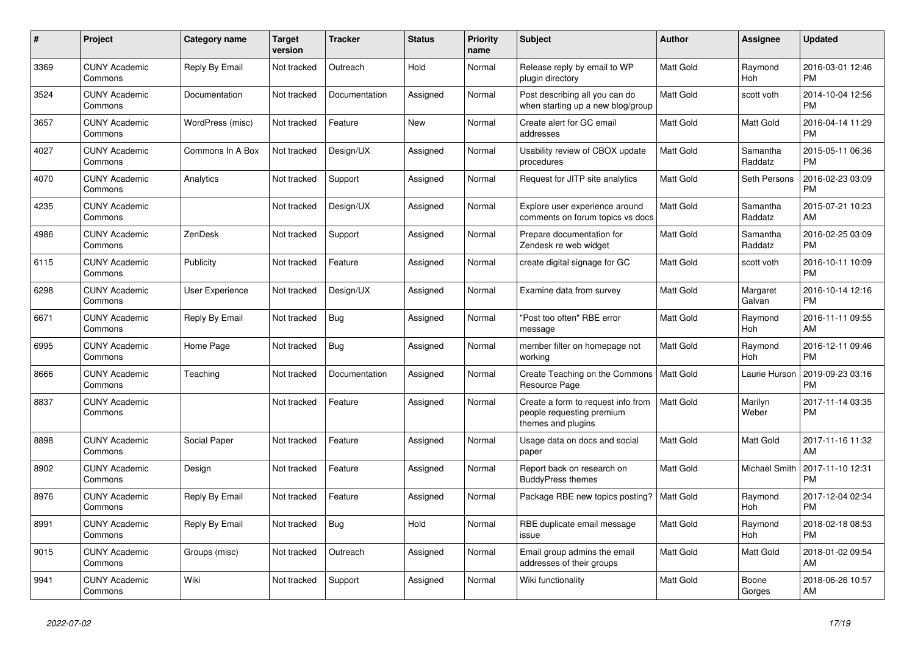| #    | <b>Project</b>                  | <b>Category name</b> | <b>Target</b><br>version | <b>Tracker</b> | <b>Status</b> | <b>Priority</b><br>name | <b>Subject</b>                                                                        | Author           | Assignee              | <b>Updated</b>                |
|------|---------------------------------|----------------------|--------------------------|----------------|---------------|-------------------------|---------------------------------------------------------------------------------------|------------------|-----------------------|-------------------------------|
| 3369 | <b>CUNY Academic</b><br>Commons | Reply By Email       | Not tracked              | Outreach       | Hold          | Normal                  | Release reply by email to WP<br>plugin directory                                      | <b>Matt Gold</b> | Raymond<br><b>Hoh</b> | 2016-03-01 12:46<br><b>PM</b> |
| 3524 | <b>CUNY Academic</b><br>Commons | Documentation        | Not tracked              | Documentation  | Assigned      | Normal                  | Post describing all you can do<br>when starting up a new blog/group                   | <b>Matt Gold</b> | scott voth            | 2014-10-04 12:56<br><b>PM</b> |
| 3657 | <b>CUNY Academic</b><br>Commons | WordPress (misc)     | Not tracked              | Feature        | New           | Normal                  | Create alert for GC email<br>addresses                                                | <b>Matt Gold</b> | <b>Matt Gold</b>      | 2016-04-14 11:29<br><b>PM</b> |
| 4027 | <b>CUNY Academic</b><br>Commons | Commons In A Box     | Not tracked              | Design/UX      | Assigned      | Normal                  | Usability review of CBOX update<br>procedures                                         | Matt Gold        | Samantha<br>Raddatz   | 2015-05-11 06:36<br><b>PM</b> |
| 4070 | <b>CUNY Academic</b><br>Commons | Analytics            | Not tracked              | Support        | Assigned      | Normal                  | Request for JITP site analytics                                                       | Matt Gold        | Seth Persons          | 2016-02-23 03:09<br><b>PM</b> |
| 4235 | <b>CUNY Academic</b><br>Commons |                      | Not tracked              | Design/UX      | Assigned      | Normal                  | Explore user experience around<br>comments on forum topics vs docs                    | Matt Gold        | Samantha<br>Raddatz   | 2015-07-21 10:23<br>AM        |
| 4986 | <b>CUNY Academic</b><br>Commons | <b>ZenDesk</b>       | Not tracked              | Support        | Assigned      | Normal                  | Prepare documentation for<br>Zendesk re web widget                                    | <b>Matt Gold</b> | Samantha<br>Raddatz   | 2016-02-25 03:09<br><b>PM</b> |
| 6115 | <b>CUNY Academic</b><br>Commons | Publicity            | Not tracked              | Feature        | Assigned      | Normal                  | create digital signage for GC                                                         | <b>Matt Gold</b> | scott voth            | 2016-10-11 10:09<br><b>PM</b> |
| 6298 | <b>CUNY Academic</b><br>Commons | User Experience      | Not tracked              | Design/UX      | Assigned      | Normal                  | Examine data from survey                                                              | Matt Gold        | Margaret<br>Galvan    | 2016-10-14 12:16<br><b>PM</b> |
| 6671 | <b>CUNY Academic</b><br>Commons | Reply By Email       | Not tracked              | Bug            | Assigned      | Normal                  | "Post too often" RBE error<br>message                                                 | <b>Matt Gold</b> | Raymond<br>Hoh        | 2016-11-11 09:55<br>AM        |
| 6995 | <b>CUNY Academic</b><br>Commons | Home Page            | Not tracked              | Bug            | Assigned      | Normal                  | member filter on homepage not<br>working                                              | <b>Matt Gold</b> | Raymond<br>Hoh        | 2016-12-11 09:46<br><b>PM</b> |
| 8666 | <b>CUNY Academic</b><br>Commons | Teaching             | Not tracked              | Documentation  | Assigned      | Normal                  | Create Teaching on the Commons<br>Resource Page                                       | l Matt Gold      | Laurie Hurson         | 2019-09-23 03:16<br><b>PM</b> |
| 8837 | <b>CUNY Academic</b><br>Commons |                      | Not tracked              | Feature        | Assigned      | Normal                  | Create a form to request info from<br>people requesting premium<br>themes and plugins | <b>Matt Gold</b> | Marilyn<br>Weber      | 2017-11-14 03:35<br><b>PM</b> |
| 8898 | <b>CUNY Academic</b><br>Commons | Social Paper         | Not tracked              | Feature        | Assigned      | Normal                  | Usage data on docs and social<br>paper                                                | <b>Matt Gold</b> | <b>Matt Gold</b>      | 2017-11-16 11:32<br>AM        |
| 8902 | <b>CUNY Academic</b><br>Commons | Design               | Not tracked              | Feature        | Assigned      | Normal                  | Report back on research on<br><b>BuddyPress themes</b>                                | Matt Gold        | Michael Smith         | 2017-11-10 12:31<br><b>PM</b> |
| 8976 | <b>CUNY Academic</b><br>Commons | Reply By Email       | Not tracked              | Feature        | Assigned      | Normal                  | Package RBE new topics posting?                                                       | Matt Gold        | Raymond<br>Hoh        | 2017-12-04 02:34<br><b>PM</b> |
| 8991 | <b>CUNY Academic</b><br>Commons | Reply By Email       | Not tracked              | <b>Bug</b>     | Hold          | Normal                  | RBE duplicate email message<br>issue                                                  | <b>Matt Gold</b> | Raymond<br>Hoh        | 2018-02-18 08:53<br><b>PM</b> |
| 9015 | <b>CUNY Academic</b><br>Commons | Groups (misc)        | Not tracked              | Outreach       | Assigned      | Normal                  | Email group admins the email<br>addresses of their groups                             | <b>Matt Gold</b> | <b>Matt Gold</b>      | 2018-01-02 09:54<br>AM        |
| 9941 | <b>CUNY Academic</b><br>Commons | Wiki                 | Not tracked              | Support        | Assigned      | Normal                  | Wiki functionality                                                                    | <b>Matt Gold</b> | Boone<br>Gorges       | 2018-06-26 10:57<br>AM        |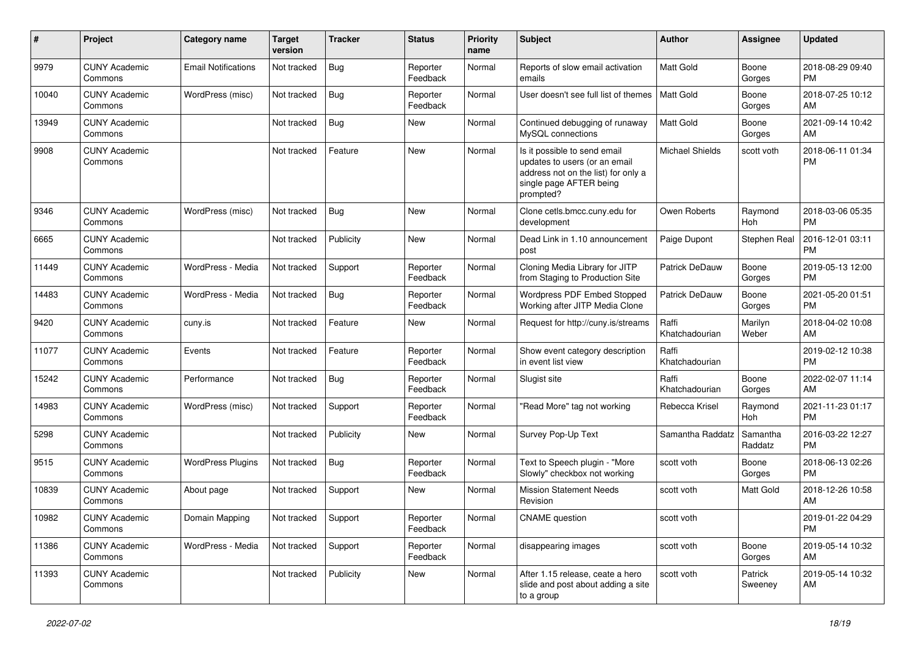| #     | Project                         | <b>Category name</b>       | <b>Target</b><br>version | <b>Tracker</b> | <b>Status</b>        | Priority<br>name | Subject                                                                                                                                      | <b>Author</b>           | <b>Assignee</b>     | <b>Updated</b>                |
|-------|---------------------------------|----------------------------|--------------------------|----------------|----------------------|------------------|----------------------------------------------------------------------------------------------------------------------------------------------|-------------------------|---------------------|-------------------------------|
| 9979  | <b>CUNY Academic</b><br>Commons | <b>Email Notifications</b> | Not tracked              | Bug            | Reporter<br>Feedback | Normal           | Reports of slow email activation<br>emails                                                                                                   | <b>Matt Gold</b>        | Boone<br>Gorges     | 2018-08-29 09:40<br><b>PM</b> |
| 10040 | <b>CUNY Academic</b><br>Commons | WordPress (misc)           | Not tracked              | Bug            | Reporter<br>Feedback | Normal           | User doesn't see full list of themes                                                                                                         | Matt Gold               | Boone<br>Gorges     | 2018-07-25 10:12<br>AM        |
| 13949 | <b>CUNY Academic</b><br>Commons |                            | Not tracked              | Bug            | New                  | Normal           | Continued debugging of runaway<br>MySQL connections                                                                                          | <b>Matt Gold</b>        | Boone<br>Gorges     | 2021-09-14 10:42<br>AM        |
| 9908  | <b>CUNY Academic</b><br>Commons |                            | Not tracked              | Feature        | <b>New</b>           | Normal           | Is it possible to send email<br>updates to users (or an email<br>address not on the list) for only a<br>single page AFTER being<br>prompted? | <b>Michael Shields</b>  | scott voth          | 2018-06-11 01:34<br><b>PM</b> |
| 9346  | <b>CUNY Academic</b><br>Commons | WordPress (misc)           | Not tracked              | Bug            | New                  | Normal           | Clone cetls.bmcc.cuny.edu for<br>development                                                                                                 | Owen Roberts            | Raymond<br>Hoh      | 2018-03-06 05:35<br><b>PM</b> |
| 6665  | <b>CUNY Academic</b><br>Commons |                            | Not tracked              | Publicity      | New                  | Normal           | Dead Link in 1.10 announcement<br>post                                                                                                       | Paige Dupont            | Stephen Real        | 2016-12-01 03:11<br><b>PM</b> |
| 11449 | <b>CUNY Academic</b><br>Commons | WordPress - Media          | Not tracked              | Support        | Reporter<br>Feedback | Normal           | Cloning Media Library for JITP<br>from Staging to Production Site                                                                            | Patrick DeDauw          | Boone<br>Gorges     | 2019-05-13 12:00<br><b>PM</b> |
| 14483 | <b>CUNY Academic</b><br>Commons | WordPress - Media          | Not tracked              | Bug            | Reporter<br>Feedback | Normal           | Wordpress PDF Embed Stopped<br>Working after JITP Media Clone                                                                                | Patrick DeDauw          | Boone<br>Gorges     | 2021-05-20 01:51<br><b>PM</b> |
| 9420  | <b>CUNY Academic</b><br>Commons | cuny.is                    | Not tracked              | Feature        | New                  | Normal           | Request for http://cuny.is/streams                                                                                                           | Raffi<br>Khatchadourian | Marilyn<br>Weber    | 2018-04-02 10:08<br>AM        |
| 11077 | <b>CUNY Academic</b><br>Commons | Events                     | Not tracked              | Feature        | Reporter<br>Feedback | Normal           | Show event category description<br>in event list view                                                                                        | Raffi<br>Khatchadourian |                     | 2019-02-12 10:38<br><b>PM</b> |
| 15242 | <b>CUNY Academic</b><br>Commons | Performance                | Not tracked              | Bug            | Reporter<br>Feedback | Normal           | Slugist site                                                                                                                                 | Raffi<br>Khatchadourian | Boone<br>Gorges     | 2022-02-07 11:14<br>AM        |
| 14983 | <b>CUNY Academic</b><br>Commons | WordPress (misc)           | Not tracked              | Support        | Reporter<br>Feedback | Normal           | "Read More" tag not working                                                                                                                  | Rebecca Krisel          | Raymond<br>Hoh      | 2021-11-23 01:17<br><b>PM</b> |
| 5298  | <b>CUNY Academic</b><br>Commons |                            | Not tracked              | Publicity      | New                  | Normal           | Survey Pop-Up Text                                                                                                                           | Samantha Raddatz        | Samantha<br>Raddatz | 2016-03-22 12:27<br><b>PM</b> |
| 9515  | <b>CUNY Academic</b><br>Commons | <b>WordPress Plugins</b>   | Not tracked              | Bug            | Reporter<br>Feedback | Normal           | Text to Speech plugin - "More<br>Slowly" checkbox not working                                                                                | scott voth              | Boone<br>Gorges     | 2018-06-13 02:26<br><b>PM</b> |
| 10839 | <b>CUNY Academic</b><br>Commons | About page                 | Not tracked              | Support        | New                  | Normal           | <b>Mission Statement Needs</b><br>Revision                                                                                                   | scott voth              | Matt Gold           | 2018-12-26 10:58<br>AM        |
| 10982 | <b>CUNY Academic</b><br>Commons | Domain Mapping             | Not tracked Support      |                | Reporter<br>Feedback | Normal           | <b>CNAME</b> question                                                                                                                        | scott voth              |                     | 2019-01-22 04:29<br><b>PM</b> |
| 11386 | <b>CUNY Academic</b><br>Commons | WordPress - Media          | Not tracked              | Support        | Reporter<br>Feedback | Normal           | disappearing images                                                                                                                          | scott voth              | Boone<br>Gorges     | 2019-05-14 10:32<br>AM        |
| 11393 | <b>CUNY Academic</b><br>Commons |                            | Not tracked              | Publicity      | New                  | Normal           | After 1.15 release, ceate a hero<br>slide and post about adding a site<br>to a group                                                         | scott voth              | Patrick<br>Sweeney  | 2019-05-14 10:32<br>AM        |